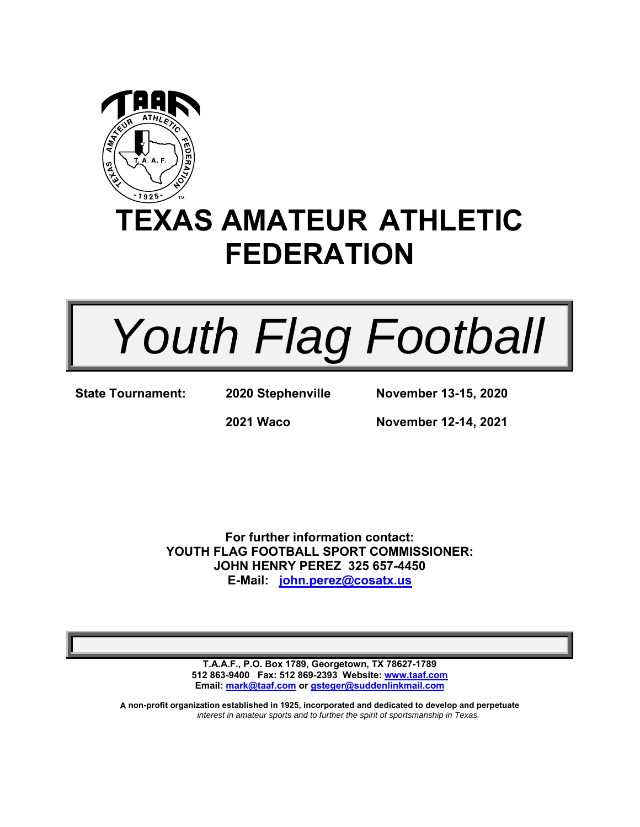

# **TEXAS AMATEUR ATHLETIC FEDERATION**

 *Youth Flag Football* 

**State Tournament: 2020 Stephenville** 

**November 13-15, 2020** 

**2021 Waco** 

**November 12-14, 2021** 

**For further information contact: YOUTH FLAG FOOTBALL SPORT COMMISSIONER: JOHN HENRY PEREZ 325 657-4450 E-Mail: john.perez@cosatx.us**

**T.A.A.F., P.O. Box 1789, Georgetown, TX 78627-1789 512 863-9400 Fax: 512 869-2393 Website: www.taaf.com Email: mark@taaf.com or gsteger@suddenlinkmail.com** 

**A non-profit organization established in 1925, incorporated and dedicated to develop and perpetuate**  *interest in amateur sports and to further the spirit of sportsmanship in Texas.*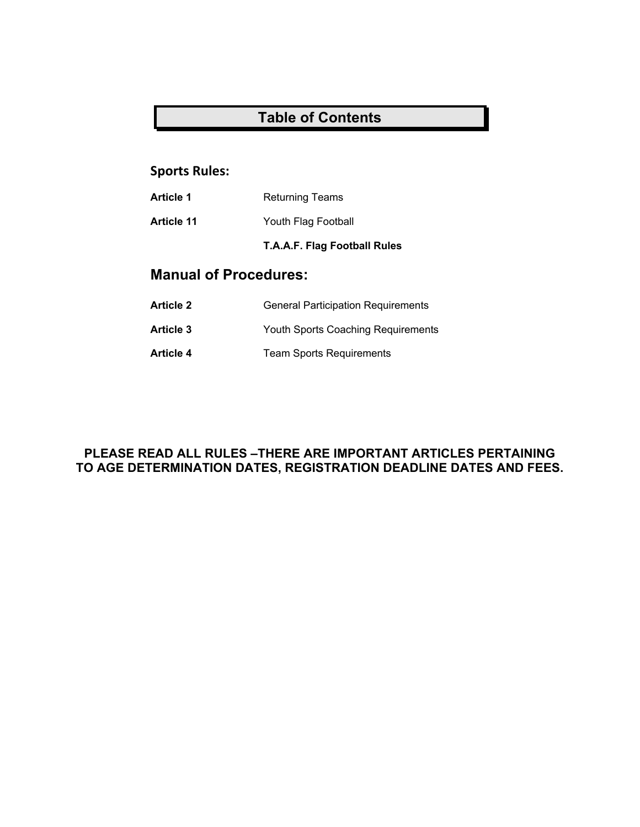## **Table of Contents**

## **Sports Rules:**

| Article 1 | <b>Returning Teams</b> |  |
|-----------|------------------------|--|
|-----------|------------------------|--|

**Article 11** Youth Flag Football

**T.A.A.F. Flag Football Rules** 

## **Manual of Procedures:**

- **Article 2** General Participation Requirements
- **Article 3** Youth Sports Coaching Requirements
- Article 4 **Team Sports Requirements**

## **PLEASE READ ALL RULES –THERE ARE IMPORTANT ARTICLES PERTAINING TO AGE DETERMINATION DATES, REGISTRATION DEADLINE DATES AND FEES.**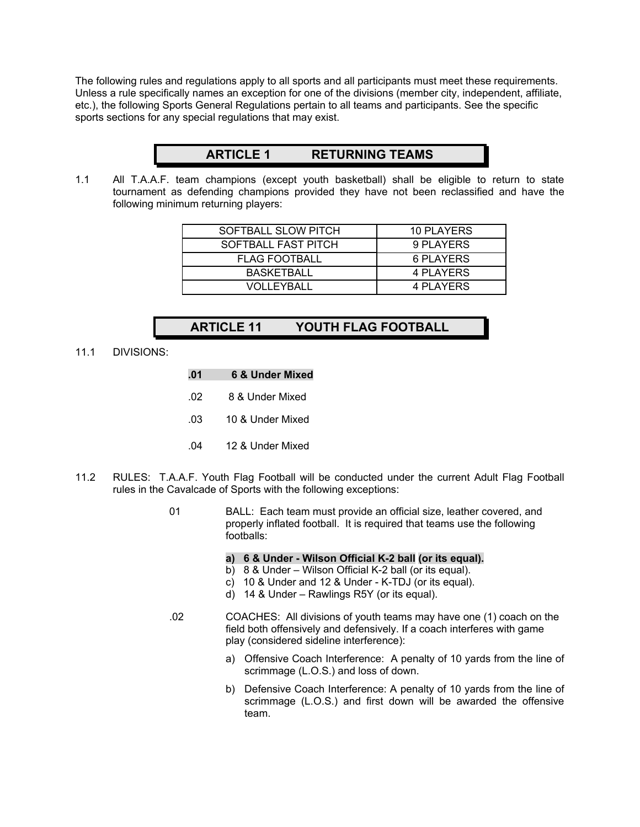The following rules and regulations apply to all sports and all participants must meet these requirements. Unless a rule specifically names an exception for one of the divisions (member city, independent, affiliate, etc.), the following Sports General Regulations pertain to all teams and participants. See the specific sports sections for any special regulations that may exist.

## **ARTICLE 1 RETURNING TEAMS**

1.1 All T.A.A.F. team champions (except youth basketball) shall be eligible to return to state tournament as defending champions provided they have not been reclassified and have the following minimum returning players:

| SOFTBALL SLOW PITCH  | 10 PLAYERS |
|----------------------|------------|
| SOFTBALL FAST PITCH  | 9 PLAYERS  |
| <b>FLAG FOOTBALL</b> | 6 PLAYERS  |
| <b>BASKETBALL</b>    | 4 PLAYERS  |
| VOLLEYBALL           | 4 PLAYERS  |

## **ARTICLE 11 YOUTH FLAG FOOTBALL**

11.1 DIVISIONS:

| .01 | <b>6 &amp; Under Mixed</b> |
|-----|----------------------------|
| .02 | 8 & Under Mixed            |
| .03 | 10 & Under Mixed           |
| .04 | 12 & Under Mixed           |

- 11.2 RULES: T.A.A.F. Youth Flag Football will be conducted under the current Adult Flag Football rules in the Cavalcade of Sports with the following exceptions:
	- 01 BALL: Each team must provide an official size, leather covered, and properly inflated football. It is required that teams use the following footballs:

#### **a) 6 & Under - Wilson Official K-2 ball (or its equal).**

- b) 8 & Under Wilson Official K-2 ball (or its equal).
- c) 10 & Under and 12 & Under K-TDJ (or its equal).
- d) 14 & Under Rawlings R5Y (or its equal).
- .02 COACHES: All divisions of youth teams may have one (1) coach on the field both offensively and defensively. If a coach interferes with game play (considered sideline interference):
	- a) Offensive Coach Interference: A penalty of 10 yards from the line of scrimmage (L.O.S.) and loss of down.
	- b) Defensive Coach Interference: A penalty of 10 yards from the line of scrimmage (L.O.S.) and first down will be awarded the offensive team.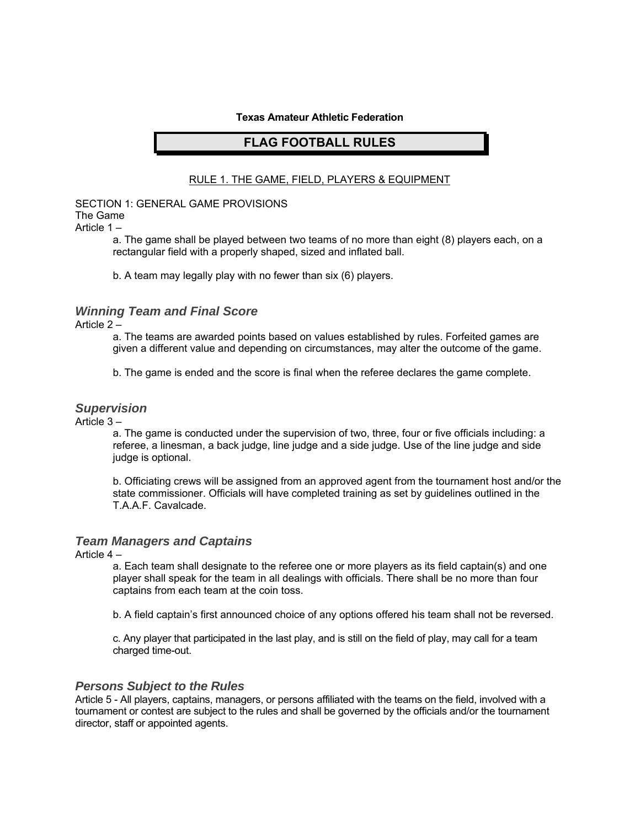#### **Texas Amateur Athletic Federation**

#### **FLAG FOOTBALL RULES**

#### RULE 1. THE GAME, FIELD, PLAYERS & EQUIPMENT

#### SECTION 1: GENERAL GAME PROVISIONS The Game

Article 1 –

a. The game shall be played between two teams of no more than eight (8) players each, on a rectangular field with a properly shaped, sized and inflated ball.

b. A team may legally play with no fewer than six (6) players.

#### *Winning Team and Final Score*

Article 2 –

a. The teams are awarded points based on values established by rules. Forfeited games are given a different value and depending on circumstances, may alter the outcome of the game.

b. The game is ended and the score is final when the referee declares the game complete.

#### *Supervision*

Article 3 –

a. The game is conducted under the supervision of two, three, four or five officials including: a referee, a linesman, a back judge, line judge and a side judge. Use of the line judge and side judge is optional.

b. Officiating crews will be assigned from an approved agent from the tournament host and/or the state commissioner. Officials will have completed training as set by guidelines outlined in the T.A.A.F. Cavalcade.

#### *Team Managers and Captains*

Article 4 –

a. Each team shall designate to the referee one or more players as its field captain(s) and one player shall speak for the team in all dealings with officials. There shall be no more than four captains from each team at the coin toss.

b. A field captain's first announced choice of any options offered his team shall not be reversed.

c. Any player that participated in the last play, and is still on the field of play, may call for a team charged time-out.

#### *Persons Subject to the Rules*

Article 5 - All players, captains, managers, or persons affiliated with the teams on the field, involved with a tournament or contest are subject to the rules and shall be governed by the officials and/or the tournament director, staff or appointed agents.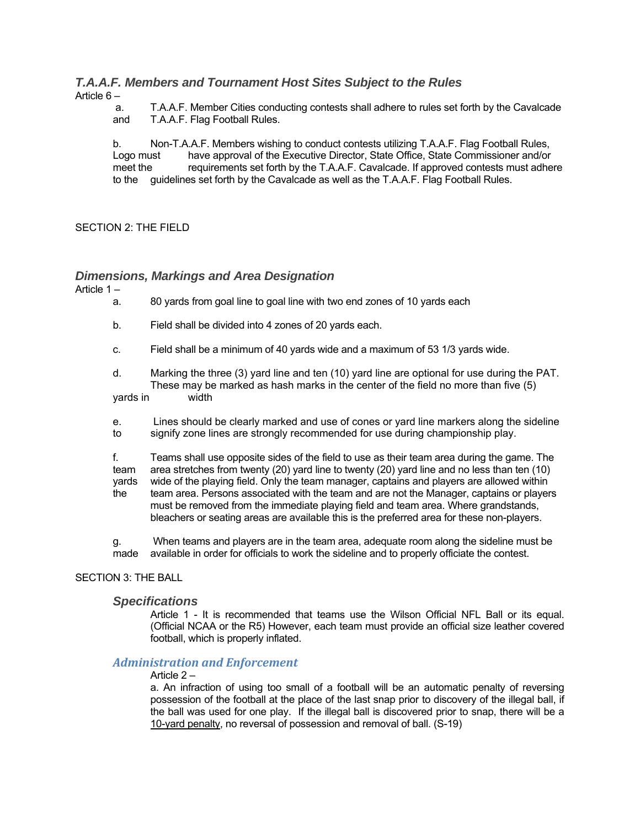#### *T.A.A.F. Members and Tournament Host Sites Subject to the Rules*  Article 6 –

 a. T.A.A.F. Member Cities conducting contests shall adhere to rules set forth by the Cavalcade and T.A.A.F. Flag Football Rules.

b. Non-T.A.A.F. Members wishing to conduct contests utilizing T.A.A.F. Flag Football Rules, Logo must have approval of the Executive Director, State Office, State Commissioner and/or meet the requirements set forth by the T.A.A.F. Cavalcade. If approved contests must adhere to the guidelines set forth by the Cavalcade as well as the T.A.A.F. Flag Football Rules.

#### SECTION 2: THE FIELD

#### *Dimensions, Markings and Area Designation*

Article 1 –

- a. 80 yards from goal line to goal line with two end zones of 10 yards each
- b. Field shall be divided into 4 zones of 20 yards each.
- c. Field shall be a minimum of 40 yards wide and a maximum of 53 1/3 yards wide.

d. Marking the three (3) yard line and ten (10) yard line are optional for use during the PAT. These may be marked as hash marks in the center of the field no more than five (5) yards in width

e. Lines should be clearly marked and use of cones or yard line markers along the sideline to signify zone lines are strongly recommended for use during championship play.

f. Teams shall use opposite sides of the field to use as their team area during the game. The team area stretches from twenty (20) yard line to twenty (20) yard line and no less than ten (10) yards wide of the playing field. Only the team manager, captains and players are allowed within the team area. Persons associated with the team and are not the Manager, captains or players must be removed from the immediate playing field and team area. Where grandstands, bleachers or seating areas are available this is the preferred area for these non-players.

g. When teams and players are in the team area, adequate room along the sideline must be made available in order for officials to work the sideline and to properly officiate the contest.

#### SECTION 3: THE BALL

#### *Specifications*

Article 1 - It is recommended that teams use the Wilson Official NFL Ball or its equal. (Official NCAA or the R5) However, each team must provide an official size leather covered football, which is properly inflated.

#### *Administration and Enforcement*

#### Article 2 –

a. An infraction of using too small of a football will be an automatic penalty of reversing possession of the football at the place of the last snap prior to discovery of the illegal ball, if the ball was used for one play. If the illegal ball is discovered prior to snap, there will be a 10-yard penalty, no reversal of possession and removal of ball. (S-19)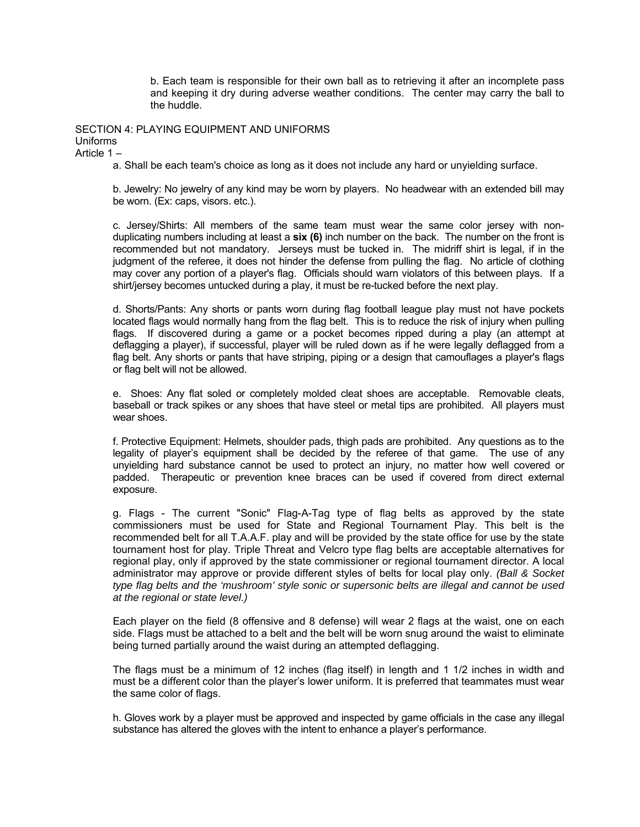b. Each team is responsible for their own ball as to retrieving it after an incomplete pass and keeping it dry during adverse weather conditions. The center may carry the ball to the huddle.

SECTION 4: PLAYING EQUIPMENT AND UNIFORMS Uniforms Article 1 –

a. Shall be each team's choice as long as it does not include any hard or unyielding surface.

b. Jewelry: No jewelry of any kind may be worn by players. No headwear with an extended bill may be worn. (Ex: caps, visors. etc.).

c. Jersey/Shirts: All members of the same team must wear the same color jersey with nonduplicating numbers including at least a **six (6)** inch number on the back. The number on the front is recommended but not mandatory. Jerseys must be tucked in. The midriff shirt is legal, if in the judgment of the referee, it does not hinder the defense from pulling the flag. No article of clothing may cover any portion of a player's flag. Officials should warn violators of this between plays. If a shirt/jersey becomes untucked during a play, it must be re-tucked before the next play.

d. Shorts/Pants: Any shorts or pants worn during flag football league play must not have pockets located flags would normally hang from the flag belt. This is to reduce the risk of injury when pulling flags. If discovered during a game or a pocket becomes ripped during a play (an attempt at deflagging a player), if successful, player will be ruled down as if he were legally deflagged from a flag belt. Any shorts or pants that have striping, piping or a design that camouflages a player's flags or flag belt will not be allowed.

e. Shoes: Any flat soled or completely molded cleat shoes are acceptable. Removable cleats, baseball or track spikes or any shoes that have steel or metal tips are prohibited. All players must wear shoes.

f. Protective Equipment: Helmets, shoulder pads, thigh pads are prohibited. Any questions as to the legality of player's equipment shall be decided by the referee of that game. The use of any unyielding hard substance cannot be used to protect an injury, no matter how well covered or padded. Therapeutic or prevention knee braces can be used if covered from direct external exposure.

g. Flags - The current "Sonic" Flag-A-Tag type of flag belts as approved by the state commissioners must be used for State and Regional Tournament Play. This belt is the recommended belt for all T.A.A.F. play and will be provided by the state office for use by the state tournament host for play. Triple Threat and Velcro type flag belts are acceptable alternatives for regional play, only if approved by the state commissioner or regional tournament director. A local administrator may approve or provide different styles of belts for local play only. *(Ball & Socket type flag belts and the 'mushroom' style sonic or supersonic belts are illegal and cannot be used at the regional or state level.)* 

Each player on the field (8 offensive and 8 defense) will wear 2 flags at the waist, one on each side. Flags must be attached to a belt and the belt will be worn snug around the waist to eliminate being turned partially around the waist during an attempted deflagging.

The flags must be a minimum of 12 inches (flag itself) in length and 1 1/2 inches in width and must be a different color than the player's lower uniform. It is preferred that teammates must wear the same color of flags.

h. Gloves work by a player must be approved and inspected by game officials in the case any illegal substance has altered the gloves with the intent to enhance a player's performance.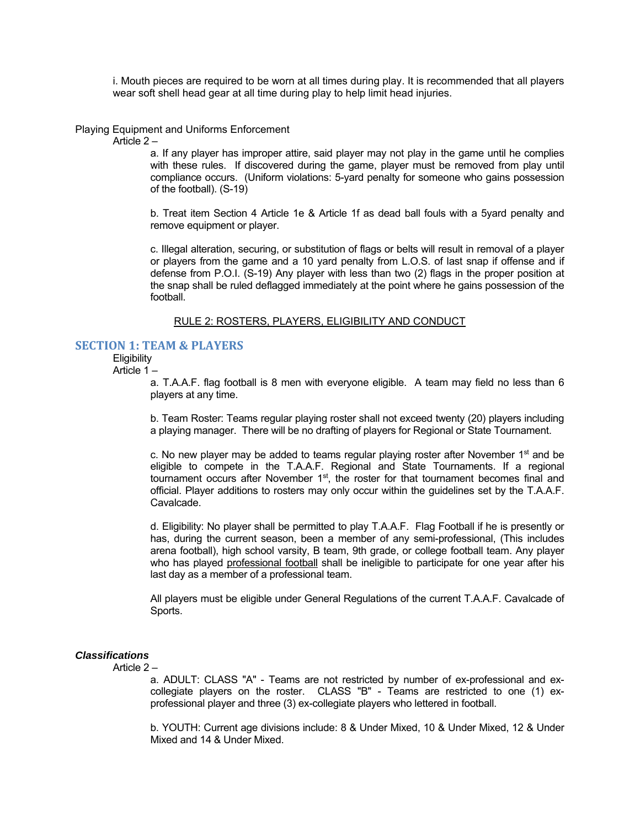i. Mouth pieces are required to be worn at all times during play. It is recommended that all players wear soft shell head gear at all time during play to help limit head injuries.

#### Playing Equipment and Uniforms Enforcement

Article 2 –

a. If any player has improper attire, said player may not play in the game until he complies with these rules. If discovered during the game, player must be removed from play until compliance occurs. (Uniform violations: 5-yard penalty for someone who gains possession of the football). (S-19)

b. Treat item Section 4 Article 1e & Article 1f as dead ball fouls with a 5yard penalty and remove equipment or player.

c. Illegal alteration, securing, or substitution of flags or belts will result in removal of a player or players from the game and a 10 yard penalty from L.O.S. of last snap if offense and if defense from P.O.I. (S-19) Any player with less than two (2) flags in the proper position at the snap shall be ruled deflagged immediately at the point where he gains possession of the football.

#### RULE 2: ROSTERS, PLAYERS, ELIGIBILITY AND CONDUCT

#### **SECTION 1: TEAM & PLAYERS**

**Eligibility** Article 1 –

> a. T.A.A.F. flag football is 8 men with everyone eligible. A team may field no less than 6 players at any time.

> b. Team Roster: Teams regular playing roster shall not exceed twenty (20) players including a playing manager. There will be no drafting of players for Regional or State Tournament.

> c. No new player may be added to teams regular playing roster after November  $1<sup>st</sup>$  and be eligible to compete in the T.A.A.F. Regional and State Tournaments. If a regional tournament occurs after November 1<sup>st</sup>, the roster for that tournament becomes final and official. Player additions to rosters may only occur within the guidelines set by the T.A.A.F. Cavalcade.

> d. Eligibility: No player shall be permitted to play T.A.A.F. Flag Football if he is presently or has, during the current season, been a member of any semi-professional, (This includes arena football), high school varsity, B team, 9th grade, or college football team. Any player who has played professional football shall be ineligible to participate for one year after his last day as a member of a professional team.

> All players must be eligible under General Regulations of the current T.A.A.F. Cavalcade of Sports.

#### *Classifications*

Article 2 –

a. ADULT: CLASS "A" - Teams are not restricted by number of ex-professional and excollegiate players on the roster. CLASS "B" - Teams are restricted to one (1) exprofessional player and three (3) ex-collegiate players who lettered in football.

b. YOUTH: Current age divisions include: 8 & Under Mixed, 10 & Under Mixed, 12 & Under Mixed and 14 & Under Mixed.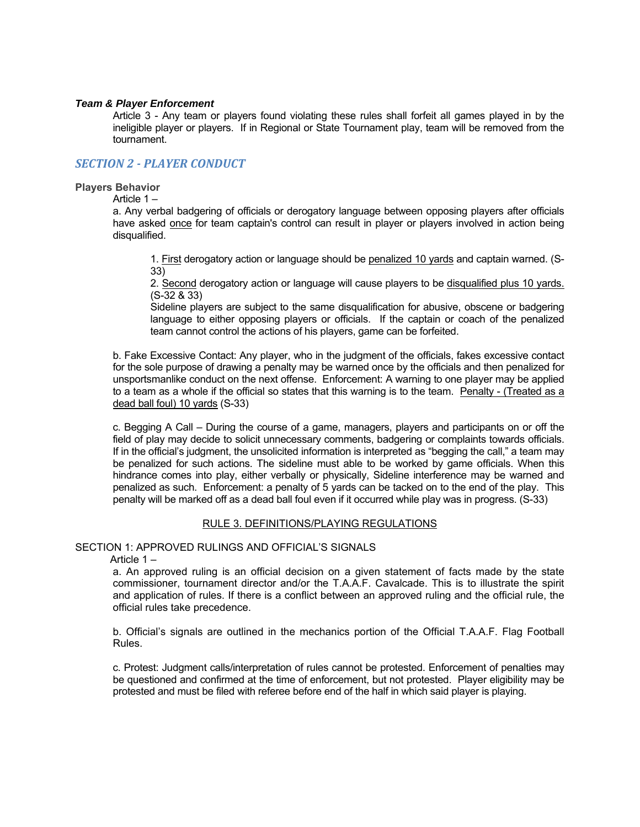#### *Team & Player Enforcement*

Article 3 - Any team or players found violating these rules shall forfeit all games played in by the ineligible player or players. If in Regional or State Tournament play, team will be removed from the tournament.

#### *SECTION 2 ‐ PLAYER CONDUCT*

#### **Players Behavior**

Article 1 –

a. Any verbal badgering of officials or derogatory language between opposing players after officials have asked once for team captain's control can result in player or players involved in action being disqualified.

1. First derogatory action or language should be penalized 10 yards and captain warned. (S-33)

2. Second derogatory action or language will cause players to be disqualified plus 10 yards. (S-32 & 33)

Sideline players are subject to the same disqualification for abusive, obscene or badgering language to either opposing players or officials. If the captain or coach of the penalized team cannot control the actions of his players, game can be forfeited.

b. Fake Excessive Contact: Any player, who in the judgment of the officials, fakes excessive contact for the sole purpose of drawing a penalty may be warned once by the officials and then penalized for unsportsmanlike conduct on the next offense. Enforcement: A warning to one player may be applied to a team as a whole if the official so states that this warning is to the team. Penalty - (Treated as a dead ball foul) 10 yards (S-33)

c. Begging A Call – During the course of a game, managers, players and participants on or off the field of play may decide to solicit unnecessary comments, badgering or complaints towards officials. If in the official's judgment, the unsolicited information is interpreted as "begging the call," a team may be penalized for such actions. The sideline must able to be worked by game officials. When this hindrance comes into play, either verbally or physically, Sideline interference may be warned and penalized as such. Enforcement: a penalty of 5 yards can be tacked on to the end of the play. This penalty will be marked off as a dead ball foul even if it occurred while play was in progress. (S-33)

#### RULE 3. DEFINITIONS/PLAYING REGULATIONS

#### SECTION 1: APPROVED RULINGS AND OFFICIAL'S SIGNALS

Article 1 –

a. An approved ruling is an official decision on a given statement of facts made by the state commissioner, tournament director and/or the T.A.A.F. Cavalcade. This is to illustrate the spirit and application of rules. If there is a conflict between an approved ruling and the official rule, the official rules take precedence.

b. Official's signals are outlined in the mechanics portion of the Official T.A.A.F. Flag Football Rules.

c. Protest: Judgment calls/interpretation of rules cannot be protested. Enforcement of penalties may be questioned and confirmed at the time of enforcement, but not protested. Player eligibility may be protested and must be filed with referee before end of the half in which said player is playing.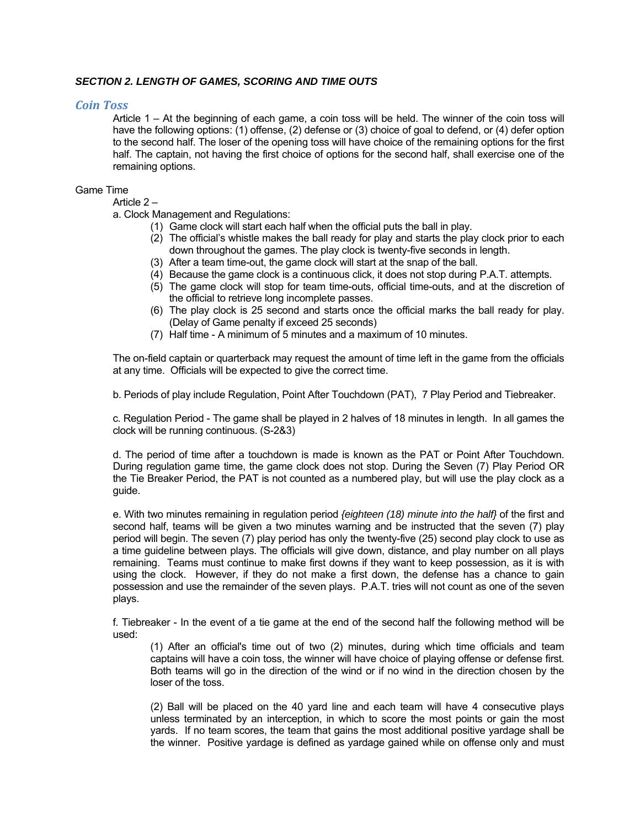#### *SECTION 2. LENGTH OF GAMES, SCORING AND TIME OUTS*

#### *Coin Toss*

Article 1 – At the beginning of each game, a coin toss will be held. The winner of the coin toss will have the following options: (1) offense, (2) defense or (3) choice of goal to defend, or (4) defer option to the second half. The loser of the opening toss will have choice of the remaining options for the first half. The captain, not having the first choice of options for the second half, shall exercise one of the remaining options.

#### Game Time

Article 2 –

a. Clock Management and Regulations:

- (1) Game clock will start each half when the official puts the ball in play.
- (2) The official's whistle makes the ball ready for play and starts the play clock prior to each down throughout the games. The play clock is twenty-five seconds in length.
- (3) After a team time-out, the game clock will start at the snap of the ball.
- (4) Because the game clock is a continuous click, it does not stop during P.A.T. attempts.
- (5) The game clock will stop for team time-outs, official time-outs, and at the discretion of the official to retrieve long incomplete passes.
- (6) The play clock is 25 second and starts once the official marks the ball ready for play. (Delay of Game penalty if exceed 25 seconds)
- (7) Half time A minimum of 5 minutes and a maximum of 10 minutes.

The on-field captain or quarterback may request the amount of time left in the game from the officials at any time. Officials will be expected to give the correct time.

b. Periods of play include Regulation, Point After Touchdown (PAT), 7 Play Period and Tiebreaker.

c. Regulation Period - The game shall be played in 2 halves of 18 minutes in length. In all games the clock will be running continuous. (S-2&3)

d. The period of time after a touchdown is made is known as the PAT or Point After Touchdown. During regulation game time, the game clock does not stop. During the Seven (7) Play Period OR the Tie Breaker Period, the PAT is not counted as a numbered play, but will use the play clock as a guide.

e. With two minutes remaining in regulation period *{eighteen (18) minute into the half}* of the first and second half, teams will be given a two minutes warning and be instructed that the seven (7) play period will begin. The seven (7) play period has only the twenty-five (25) second play clock to use as a time guideline between plays. The officials will give down, distance, and play number on all plays remaining. Teams must continue to make first downs if they want to keep possession, as it is with using the clock. However, if they do not make a first down, the defense has a chance to gain possession and use the remainder of the seven plays. P.A.T. tries will not count as one of the seven plays.

f. Tiebreaker - In the event of a tie game at the end of the second half the following method will be used:

(1) After an official's time out of two (2) minutes, during which time officials and team captains will have a coin toss, the winner will have choice of playing offense or defense first. Both teams will go in the direction of the wind or if no wind in the direction chosen by the loser of the toss.

(2) Ball will be placed on the 40 yard line and each team will have 4 consecutive plays unless terminated by an interception, in which to score the most points or gain the most yards. If no team scores, the team that gains the most additional positive yardage shall be the winner. Positive yardage is defined as yardage gained while on offense only and must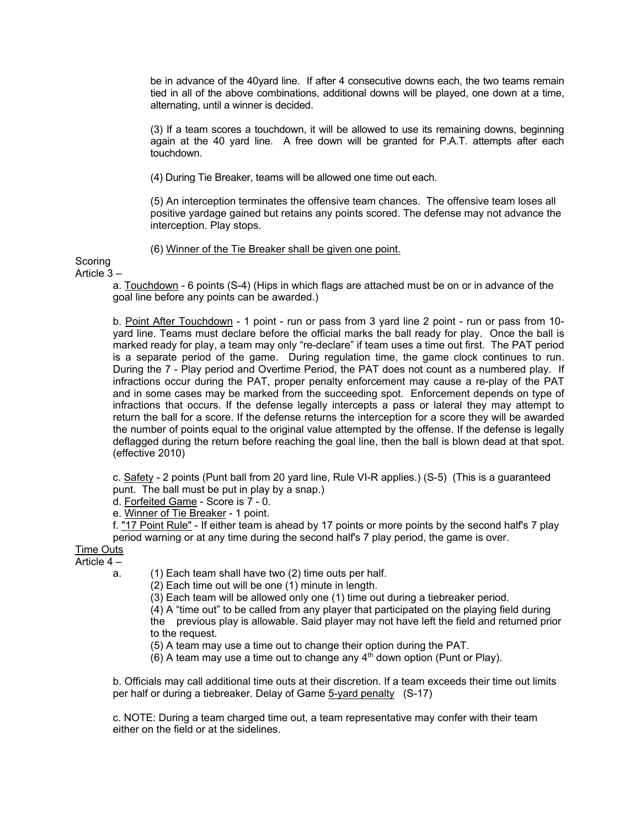be in advance of the 40yard line. If after 4 consecutive downs each, the two teams remain tied in all of the above combinations, additional downs will be played, one down at a time, alternating, until a winner is decided.

(3) If a team scores a touchdown, it will be allowed to use its remaining downs, beginning again at the 40 yard line. A free down will be granted for P.A.T. attempts after each touchdown.

(4) During Tie Breaker, teams will be allowed one time out each.

(5) An interception terminates the offensive team chances. The offensive team loses all positive yardage gained but retains any points scored. The defense may not advance the interception. Play stops.

(6) Winner of the Tie Breaker shall be given one point.

**Scoring** 

Article 3 –

a. Touchdown - 6 points (S-4) (Hips in which flags are attached must be on or in advance of the goal line before any points can be awarded.)

b. Point After Touchdown - 1 point - run or pass from 3 yard line 2 point - run or pass from 10yard line. Teams must declare before the official marks the ball ready for play. Once the ball is marked ready for play, a team may only "re-declare" if team uses a time out first. The PAT period is a separate period of the game. During regulation time, the game clock continues to run. During the 7 - Play period and Overtime Period, the PAT does not count as a numbered play. If infractions occur during the PAT, proper penalty enforcement may cause a re-play of the PAT and in some cases may be marked from the succeeding spot. Enforcement depends on type of infractions that occurs. If the defense legally intercepts a pass or lateral they may attempt to return the ball for a score. If the defense returns the interception for a score they will be awarded the number of points equal to the original value attempted by the offense. If the defense is legally deflagged during the return before reaching the goal line, then the ball is blown dead at that spot. (effective 2010)

c. Safety - 2 points (Punt ball from 20 yard line, Rule VI-R applies.) (S-5) (This is a guaranteed punt. The ball must be put in play by a snap.)

d. Forfeited Game - Score is 7 - 0.

e. Winner of Tie Breaker - 1 point.

f. "17 Point Rule" - If either team is ahead by 17 points or more points by the second half's 7 play period warning or at any time during the second half's 7 play period, the game is over.

## Time Outs

- Article 4
	- a. (1) Each team shall have two (2) time outs per half.

 $(2)$  Each time out will be one  $(1)$  minute in length.

(3) Each team will be allowed only one (1) time out during a tiebreaker period.

(4) A "time out" to be called from any player that participated on the playing field during the previous play is allowable. Said player may not have left the field and returned prior to the request.

(5) A team may use a time out to change their option during the PAT.

(6) A team may use a time out to change any  $4<sup>th</sup>$  down option (Punt or Play).

b. Officials may call additional time outs at their discretion. If a team exceeds their time out limits per half or during a tiebreaker. Delay of Game 5-yard penalty (S-17)

c. NOTE: During a team charged time out, a team representative may confer with their team either on the field or at the sidelines.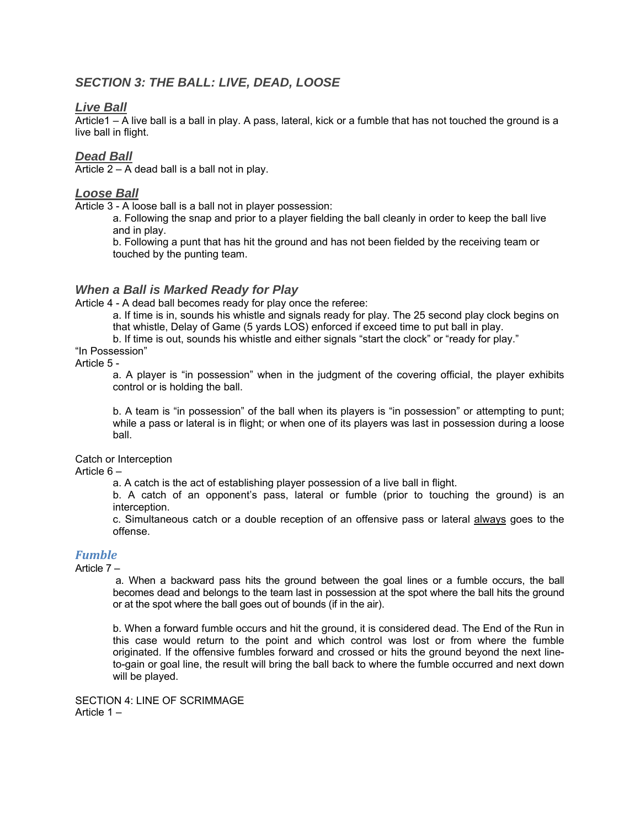## *SECTION 3: THE BALL: LIVE, DEAD, LOOSE*

#### *Live Ball*

Article1 – A live ball is a ball in play. A pass, lateral, kick or a fumble that has not touched the ground is a live ball in flight.

#### *Dead Ball*

Article  $2 - A$  dead ball is a ball not in play.

#### *Loose Ball*

Article 3 - A loose ball is a ball not in player possession:

a. Following the snap and prior to a player fielding the ball cleanly in order to keep the ball live and in play.

b. Following a punt that has hit the ground and has not been fielded by the receiving team or touched by the punting team.

#### *When a Ball is Marked Ready for Play*

Article 4 - A dead ball becomes ready for play once the referee:

a. If time is in, sounds his whistle and signals ready for play. The 25 second play clock begins on that whistle, Delay of Game (5 yards LOS) enforced if exceed time to put ball in play.

b. If time is out, sounds his whistle and either signals "start the clock" or "ready for play."

## "In Possession"

#### Article 5 -

a. A player is "in possession" when in the judgment of the covering official, the player exhibits control or is holding the ball.

b. A team is "in possession" of the ball when its players is "in possession" or attempting to punt; while a pass or lateral is in flight; or when one of its players was last in possession during a loose ball.

#### Catch or Interception

#### Article 6 –

a. A catch is the act of establishing player possession of a live ball in flight.

b. A catch of an opponent's pass, lateral or fumble (prior to touching the ground) is an interception.

c. Simultaneous catch or a double reception of an offensive pass or lateral always goes to the offense.

## *Fumble*

#### Article 7 –

 a. When a backward pass hits the ground between the goal lines or a fumble occurs, the ball becomes dead and belongs to the team last in possession at the spot where the ball hits the ground or at the spot where the ball goes out of bounds (if in the air).

b. When a forward fumble occurs and hit the ground, it is considered dead. The End of the Run in this case would return to the point and which control was lost or from where the fumble originated. If the offensive fumbles forward and crossed or hits the ground beyond the next lineto-gain or goal line, the result will bring the ball back to where the fumble occurred and next down will be played.

SECTION 4: LINE OF SCRIMMAGE Article 1 –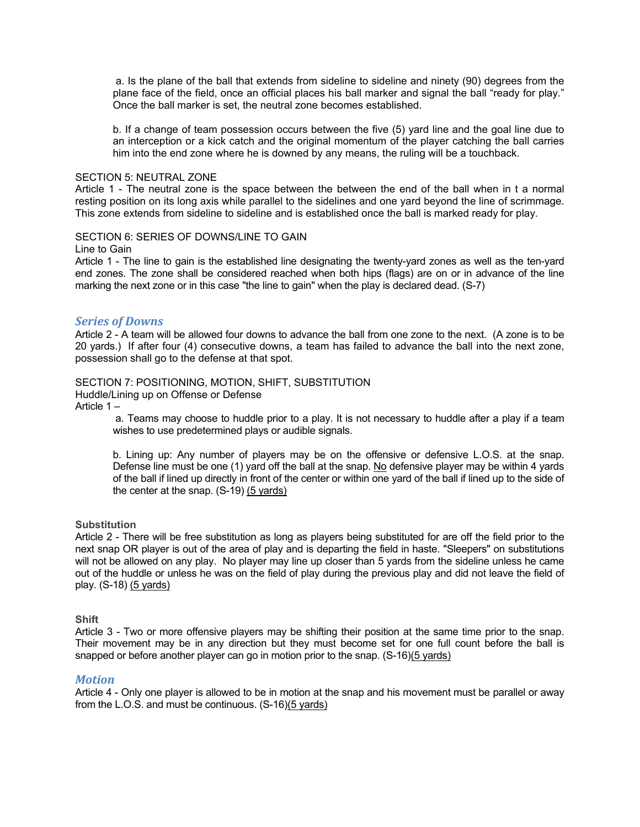a. Is the plane of the ball that extends from sideline to sideline and ninety (90) degrees from the plane face of the field, once an official places his ball marker and signal the ball "ready for play." Once the ball marker is set, the neutral zone becomes established.

b. If a change of team possession occurs between the five (5) yard line and the goal line due to an interception or a kick catch and the original momentum of the player catching the ball carries him into the end zone where he is downed by any means, the ruling will be a touchback.

#### SECTION 5: NEUTRAL ZONE

Article 1 - The neutral zone is the space between the between the end of the ball when in t a normal resting position on its long axis while parallel to the sidelines and one yard beyond the line of scrimmage. This zone extends from sideline to sideline and is established once the ball is marked ready for play.

#### SECTION 6: SERIES OF DOWNS/LINE TO GAIN

Line to Gain

Article 1 - The line to gain is the established line designating the twenty-yard zones as well as the ten-yard end zones. The zone shall be considered reached when both hips (flags) are on or in advance of the line marking the next zone or in this case "the line to gain" when the play is declared dead. (S-7)

#### *Series of Downs*

Article 2 - A team will be allowed four downs to advance the ball from one zone to the next. (A zone is to be 20 yards.) If after four (4) consecutive downs, a team has failed to advance the ball into the next zone, possession shall go to the defense at that spot.

#### SECTION 7: POSITIONING, MOTION, SHIFT, SUBSTITUTION

Huddle/Lining up on Offense or Defense

Article 1 –

 a. Teams may choose to huddle prior to a play. It is not necessary to huddle after a play if a team wishes to use predetermined plays or audible signals.

b. Lining up: Any number of players may be on the offensive or defensive L.O.S. at the snap. Defense line must be one (1) yard off the ball at the snap. No defensive player may be within 4 yards of the ball if lined up directly in front of the center or within one yard of the ball if lined up to the side of the center at the snap. (S-19) (5 yards)

#### **Substitution**

Article 2 - There will be free substitution as long as players being substituted for are off the field prior to the next snap OR player is out of the area of play and is departing the field in haste. "Sleepers" on substitutions will not be allowed on any play. No player may line up closer than 5 yards from the sideline unless he came out of the huddle or unless he was on the field of play during the previous play and did not leave the field of play. (S-18) (5 yards)

#### **Shift**

Article 3 - Two or more offensive players may be shifting their position at the same time prior to the snap. Their movement may be in any direction but they must become set for one full count before the ball is snapped or before another player can go in motion prior to the snap. (S-16)(5 yards)

#### *Motion*

Article 4 - Only one player is allowed to be in motion at the snap and his movement must be parallel or away from the L.O.S. and must be continuous. (S-16)(5 yards)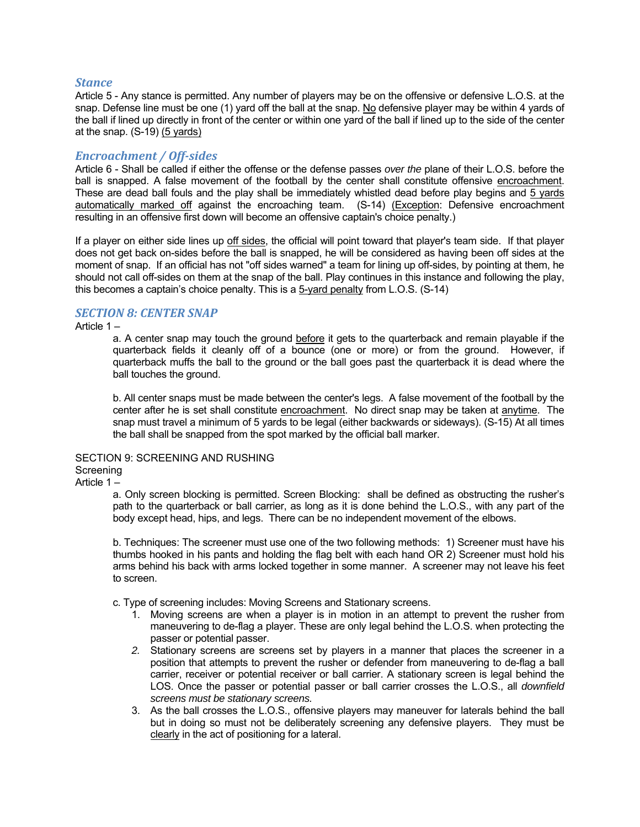#### *Stance*

Article 5 - Any stance is permitted. Any number of players may be on the offensive or defensive L.O.S. at the snap. Defense line must be one (1) yard off the ball at the snap. No defensive player may be within 4 yards of the ball if lined up directly in front of the center or within one yard of the ball if lined up to the side of the center at the snap. (S-19) (5 yards)

#### *Encroachment / Off‐sides*

Article 6 - Shall be called if either the offense or the defense passes *over the* plane of their L.O.S. before the ball is snapped. A false movement of the football by the center shall constitute offensive encroachment. These are dead ball fouls and the play shall be immediately whistled dead before play begins and 5 yards automatically marked off against the encroaching team. (S-14) (Exception: Defensive encroachment resulting in an offensive first down will become an offensive captain's choice penalty.)

If a player on either side lines up off sides, the official will point toward that player's team side. If that player does not get back on-sides before the ball is snapped, he will be considered as having been off sides at the moment of snap. If an official has not "off sides warned" a team for lining up off-sides, by pointing at them, he should not call off-sides on them at the snap of the ball. Play continues in this instance and following the play, this becomes a captain's choice penalty. This is a 5-yard penalty from L.O.S. (S-14)

#### *SECTION 8: CENTER SNAP*

Article 1 –

a. A center snap may touch the ground before it gets to the quarterback and remain playable if the quarterback fields it cleanly off of a bounce (one or more) or from the ground. However, if quarterback muffs the ball to the ground or the ball goes past the quarterback it is dead where the ball touches the ground.

b. All center snaps must be made between the center's legs. A false movement of the football by the center after he is set shall constitute encroachment. No direct snap may be taken at anytime. The snap must travel a minimum of 5 yards to be legal (either backwards or sideways). (S-15) At all times the ball shall be snapped from the spot marked by the official ball marker.

#### SECTION 9: SCREENING AND RUSHING

#### **Screening**

Article 1 –

a. Only screen blocking is permitted. Screen Blocking: shall be defined as obstructing the rusher's path to the quarterback or ball carrier, as long as it is done behind the L.O.S., with any part of the body except head, hips, and legs. There can be no independent movement of the elbows.

b. Techniques: The screener must use one of the two following methods: 1) Screener must have his thumbs hooked in his pants and holding the flag belt with each hand OR 2) Screener must hold his arms behind his back with arms locked together in some manner. A screener may not leave his feet to screen.

c. Type of screening includes: Moving Screens and Stationary screens.

- 1. Moving screens are when a player is in motion in an attempt to prevent the rusher from maneuvering to de-flag a player. These are only legal behind the L.O.S. when protecting the passer or potential passer.
- *2.* Stationary screens are screens set by players in a manner that places the screener in a position that attempts to prevent the rusher or defender from maneuvering to de-flag a ball carrier, receiver or potential receiver or ball carrier. A stationary screen is legal behind the LOS. Once the passer or potential passer or ball carrier crosses the L.O.S., all *downfield screens must be stationary screens.*
- 3. As the ball crosses the L.O.S., offensive players may maneuver for laterals behind the ball but in doing so must not be deliberately screening any defensive players. They must be clearly in the act of positioning for a lateral.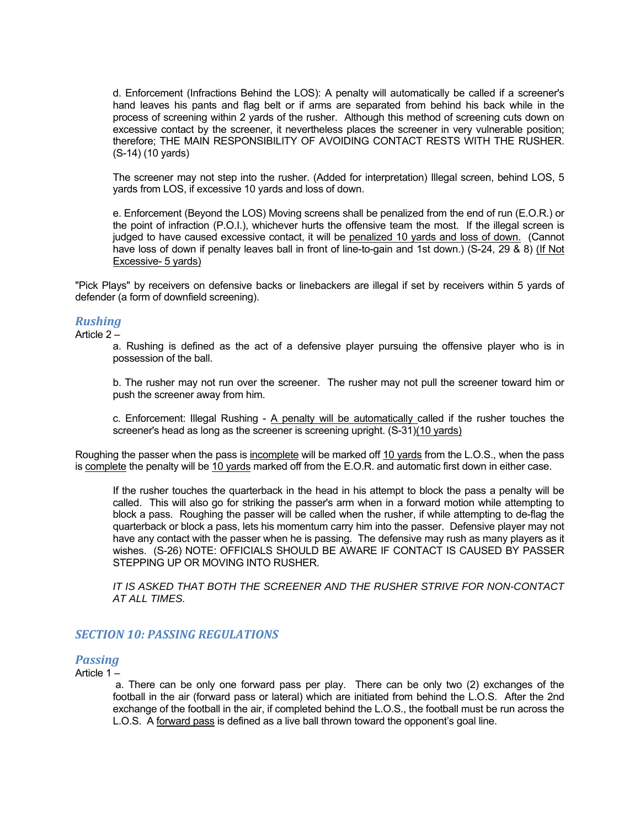d. Enforcement (Infractions Behind the LOS): A penalty will automatically be called if a screener's hand leaves his pants and flag belt or if arms are separated from behind his back while in the process of screening within 2 yards of the rusher. Although this method of screening cuts down on excessive contact by the screener, it nevertheless places the screener in very vulnerable position; therefore; THE MAIN RESPONSIBILITY OF AVOIDING CONTACT RESTS WITH THE RUSHER. (S-14) (10 yards)

The screener may not step into the rusher. (Added for interpretation) Illegal screen, behind LOS, 5 yards from LOS, if excessive 10 yards and loss of down.

e. Enforcement (Beyond the LOS) Moving screens shall be penalized from the end of run (E.O.R.) or the point of infraction (P.O.I.), whichever hurts the offensive team the most. If the illegal screen is judged to have caused excessive contact, it will be penalized 10 yards and loss of down. (Cannot have loss of down if penalty leaves ball in front of line-to-gain and 1st down.) (S-24, 29 & 8) (If Not Excessive- 5 yards)

"Pick Plays" by receivers on defensive backs or linebackers are illegal if set by receivers within 5 yards of defender (a form of downfield screening).

#### *Rushing*

Article 2 –

a. Rushing is defined as the act of a defensive player pursuing the offensive player who is in possession of the ball.

b. The rusher may not run over the screener. The rusher may not pull the screener toward him or push the screener away from him.

c. Enforcement: Illegal Rushing - A penalty will be automatically called if the rusher touches the screener's head as long as the screener is screening upright. (S-31)(10 yards)

Roughing the passer when the pass is incomplete will be marked off 10 yards from the L.O.S., when the pass is complete the penalty will be 10 yards marked off from the E.O.R. and automatic first down in either case.

If the rusher touches the quarterback in the head in his attempt to block the pass a penalty will be called. This will also go for striking the passer's arm when in a forward motion while attempting to block a pass. Roughing the passer will be called when the rusher, if while attempting to de-flag the quarterback or block a pass, lets his momentum carry him into the passer. Defensive player may not have any contact with the passer when he is passing. The defensive may rush as many players as it wishes. (S-26) NOTE: OFFICIALS SHOULD BE AWARE IF CONTACT IS CAUSED BY PASSER STEPPING UP OR MOVING INTO RUSHER.

*IT IS ASKED THAT BOTH THE SCREENER AND THE RUSHER STRIVE FOR NON-CONTACT AT ALL TIMES.* 

#### *SECTION 10: PASSING REGULATIONS*

### **Passing**

Article 1 –

 a. There can be only one forward pass per play. There can be only two (2) exchanges of the football in the air (forward pass or lateral) which are initiated from behind the L.O.S. After the 2nd exchange of the football in the air, if completed behind the L.O.S., the football must be run across the L.O.S. A forward pass is defined as a live ball thrown toward the opponent's goal line.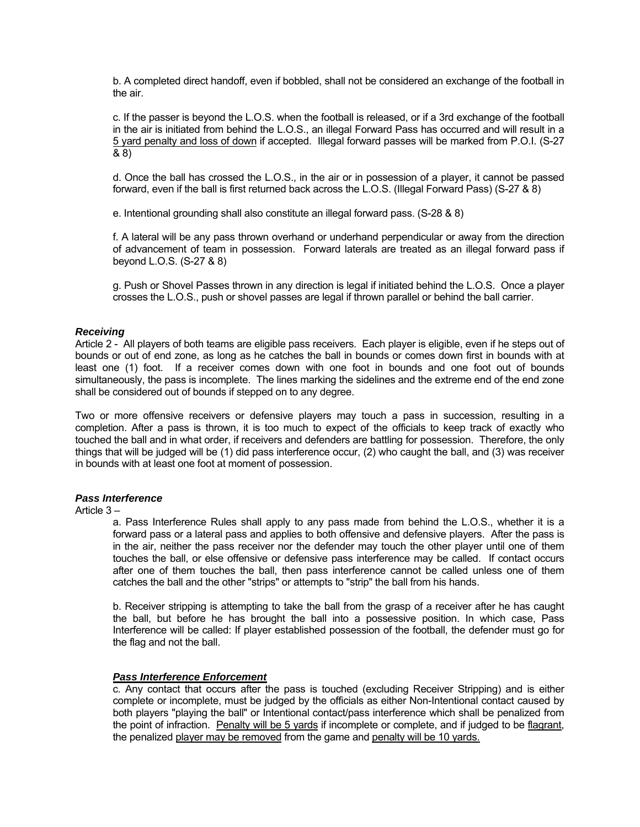b. A completed direct handoff, even if bobbled, shall not be considered an exchange of the football in the air.

c. If the passer is beyond the L.O.S. when the football is released, or if a 3rd exchange of the football in the air is initiated from behind the L.O.S., an illegal Forward Pass has occurred and will result in a 5 yard penalty and loss of down if accepted. Illegal forward passes will be marked from P.O.I. (S-27 & 8)

d. Once the ball has crossed the L.O.S., in the air or in possession of a player, it cannot be passed forward, even if the ball is first returned back across the L.O.S. (Illegal Forward Pass) (S-27 & 8)

e. Intentional grounding shall also constitute an illegal forward pass. (S-28 & 8)

f. A lateral will be any pass thrown overhand or underhand perpendicular or away from the direction of advancement of team in possession. Forward laterals are treated as an illegal forward pass if beyond L.O.S. (S-27 & 8)

g. Push or Shovel Passes thrown in any direction is legal if initiated behind the L.O.S. Once a player crosses the L.O.S., push or shovel passes are legal if thrown parallel or behind the ball carrier.

#### *Receiving*

Article 2 - All players of both teams are eligible pass receivers. Each player is eligible, even if he steps out of bounds or out of end zone, as long as he catches the ball in bounds or comes down first in bounds with at least one (1) foot. If a receiver comes down with one foot in bounds and one foot out of bounds simultaneously, the pass is incomplete. The lines marking the sidelines and the extreme end of the end zone shall be considered out of bounds if stepped on to any degree.

Two or more offensive receivers or defensive players may touch a pass in succession, resulting in a completion. After a pass is thrown, it is too much to expect of the officials to keep track of exactly who touched the ball and in what order, if receivers and defenders are battling for possession. Therefore, the only things that will be judged will be (1) did pass interference occur, (2) who caught the ball, and (3) was receiver in bounds with at least one foot at moment of possession.

#### *Pass Interference*

Article 3 –

a. Pass Interference Rules shall apply to any pass made from behind the L.O.S., whether it is a forward pass or a lateral pass and applies to both offensive and defensive players. After the pass is in the air, neither the pass receiver nor the defender may touch the other player until one of them touches the ball, or else offensive or defensive pass interference may be called. If contact occurs after one of them touches the ball, then pass interference cannot be called unless one of them catches the ball and the other "strips" or attempts to "strip" the ball from his hands.

b. Receiver stripping is attempting to take the ball from the grasp of a receiver after he has caught the ball, but before he has brought the ball into a possessive position. In which case, Pass Interference will be called: If player established possession of the football, the defender must go for the flag and not the ball.

#### *Pass Interference Enforcement*

c. Any contact that occurs after the pass is touched (excluding Receiver Stripping) and is either complete or incomplete, must be judged by the officials as either Non-Intentional contact caused by both players "playing the ball" or Intentional contact/pass interference which shall be penalized from the point of infraction. Penalty will be 5 yards if incomplete or complete, and if judged to be flagrant, the penalized player may be removed from the game and penalty will be 10 yards.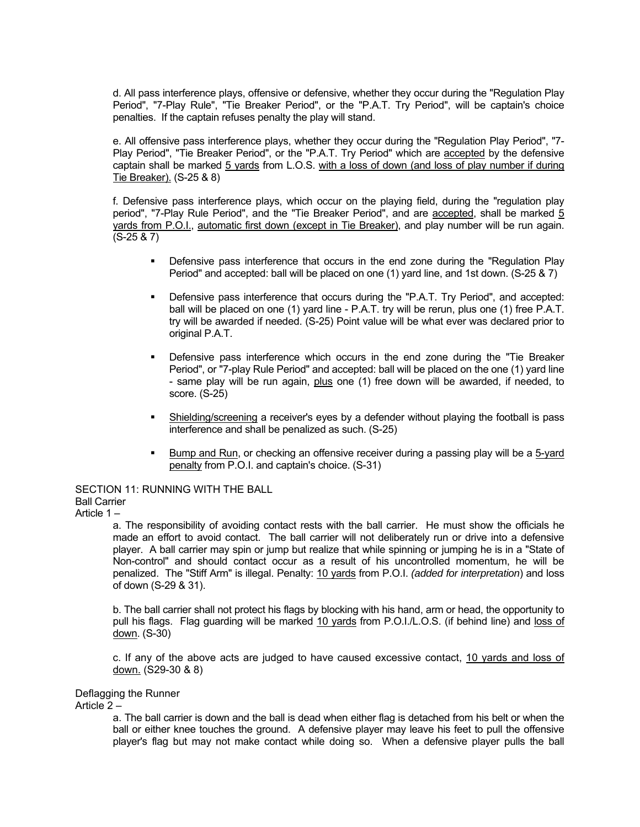d. All pass interference plays, offensive or defensive, whether they occur during the "Regulation Play Period", "7-Play Rule", "Tie Breaker Period", or the "P.A.T. Try Period", will be captain's choice penalties. If the captain refuses penalty the play will stand.

e. All offensive pass interference plays, whether they occur during the "Regulation Play Period", "7- Play Period", "Tie Breaker Period", or the "P.A.T. Try Period" which are accepted by the defensive captain shall be marked 5 yards from L.O.S. with a loss of down (and loss of play number if during Tie Breaker). (S-25 & 8)

f. Defensive pass interference plays, which occur on the playing field, during the "regulation play period", "7-Play Rule Period", and the "Tie Breaker Period", and are accepted, shall be marked 5 yards from P.O.I., automatic first down (except in Tie Breaker), and play number will be run again. (S-25 & 7)

- Defensive pass interference that occurs in the end zone during the "Regulation Play Period" and accepted: ball will be placed on one (1) yard line, and 1st down. (S-25 & 7)
- Defensive pass interference that occurs during the "P.A.T. Try Period", and accepted: ball will be placed on one (1) yard line - P.A.T. try will be rerun, plus one (1) free P.A.T. try will be awarded if needed. (S-25) Point value will be what ever was declared prior to original P.A.T.
- Defensive pass interference which occurs in the end zone during the "Tie Breaker Period", or "7-play Rule Period" and accepted: ball will be placed on the one (1) yard line - same play will be run again, plus one (1) free down will be awarded, if needed, to score. (S-25)
- Shielding/screening a receiver's eyes by a defender without playing the football is pass interference and shall be penalized as such. (S-25)
- Bump and Run, or checking an offensive receiver during a passing play will be a 5-yard penalty from P.O.I. and captain's choice. (S-31)

SECTION 11: RUNNING WITH THE BALL Ball Carrier

Article 1 –

a. The responsibility of avoiding contact rests with the ball carrier. He must show the officials he made an effort to avoid contact. The ball carrier will not deliberately run or drive into a defensive player. A ball carrier may spin or jump but realize that while spinning or jumping he is in a "State of Non-control" and should contact occur as a result of his uncontrolled momentum, he will be penalized. The "Stiff Arm" is illegal. Penalty: 10 yards from P.O.I. *(added for interpretation*) and loss of down (S-29 & 31).

b. The ball carrier shall not protect his flags by blocking with his hand, arm or head, the opportunity to pull his flags. Flag guarding will be marked 10 yards from P.O.I./L.O.S. (if behind line) and loss of down. (S-30)

c. If any of the above acts are judged to have caused excessive contact, 10 yards and loss of down. (S29-30 & 8)

#### Deflagging the Runner

Article 2 –

a. The ball carrier is down and the ball is dead when either flag is detached from his belt or when the ball or either knee touches the ground. A defensive player may leave his feet to pull the offensive player's flag but may not make contact while doing so. When a defensive player pulls the ball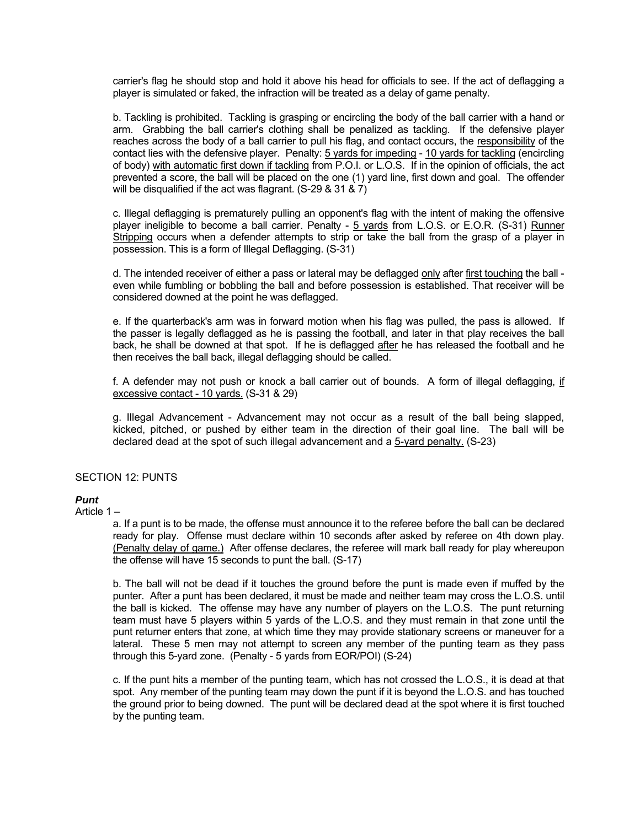carrier's flag he should stop and hold it above his head for officials to see. If the act of deflagging a player is simulated or faked, the infraction will be treated as a delay of game penalty.

b. Tackling is prohibited. Tackling is grasping or encircling the body of the ball carrier with a hand or arm. Grabbing the ball carrier's clothing shall be penalized as tackling. If the defensive player reaches across the body of a ball carrier to pull his flag, and contact occurs, the responsibility of the contact lies with the defensive player. Penalty: 5 yards for impeding - 10 yards for tackling (encircling of body) with automatic first down if tackling from P.O.I. or L.O.S. If in the opinion of officials, the act prevented a score, the ball will be placed on the one (1) yard line, first down and goal. The offender will be disqualified if the act was flagrant.  $(S-29 \& 31 \& 7)$ 

c. Illegal deflagging is prematurely pulling an opponent's flag with the intent of making the offensive player ineligible to become a ball carrier. Penalty - 5 yards from L.O.S. or E.O.R. (S-31) Runner Stripping occurs when a defender attempts to strip or take the ball from the grasp of a player in possession. This is a form of Illegal Deflagging. (S-31)

d. The intended receiver of either a pass or lateral may be deflagged only after first touching the ball even while fumbling or bobbling the ball and before possession is established. That receiver will be considered downed at the point he was deflagged.

e. If the quarterback's arm was in forward motion when his flag was pulled, the pass is allowed. If the passer is legally deflagged as he is passing the football, and later in that play receives the ball back, he shall be downed at that spot. If he is deflagged after he has released the football and he then receives the ball back, illegal deflagging should be called.

f. A defender may not push or knock a ball carrier out of bounds. A form of illegal deflagging, if excessive contact - 10 yards. (S-31 & 29)

g. Illegal Advancement - Advancement may not occur as a result of the ball being slapped, kicked, pitched, or pushed by either team in the direction of their goal line. The ball will be declared dead at the spot of such illegal advancement and a 5-yard penalty. (S-23)

#### SECTION 12: PUNTS

### *Punt*

Article 1 –

a. If a punt is to be made, the offense must announce it to the referee before the ball can be declared ready for play. Offense must declare within 10 seconds after asked by referee on 4th down play. (Penalty delay of game.) After offense declares, the referee will mark ball ready for play whereupon the offense will have 15 seconds to punt the ball. (S-17)

b. The ball will not be dead if it touches the ground before the punt is made even if muffed by the punter. After a punt has been declared, it must be made and neither team may cross the L.O.S. until the ball is kicked. The offense may have any number of players on the L.O.S. The punt returning team must have 5 players within 5 yards of the L.O.S. and they must remain in that zone until the punt returner enters that zone, at which time they may provide stationary screens or maneuver for a lateral. These 5 men may not attempt to screen any member of the punting team as they pass through this 5-yard zone. (Penalty - 5 yards from EOR/POI) (S-24)

c. If the punt hits a member of the punting team, which has not crossed the L.O.S., it is dead at that spot. Any member of the punting team may down the punt if it is beyond the L.O.S. and has touched the ground prior to being downed. The punt will be declared dead at the spot where it is first touched by the punting team.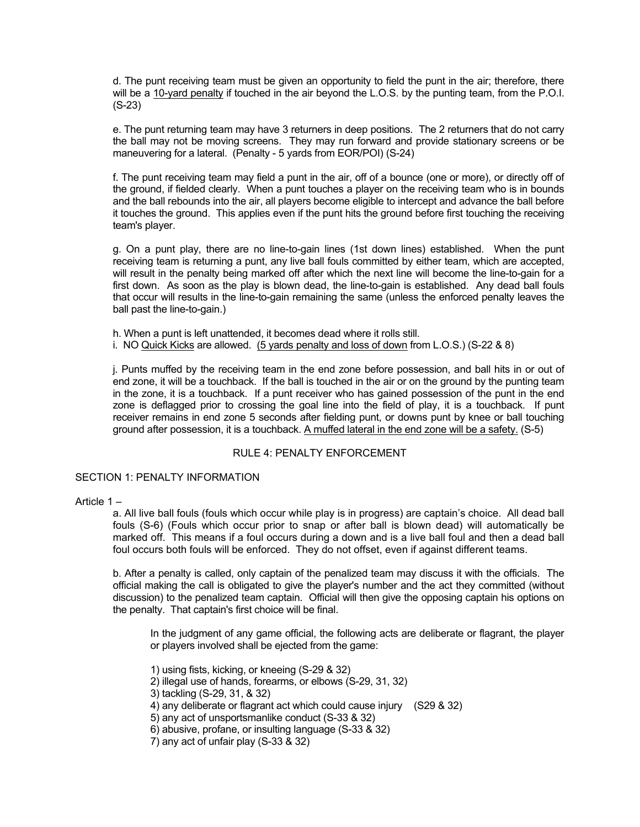d. The punt receiving team must be given an opportunity to field the punt in the air; therefore, there will be a 10-yard penalty if touched in the air beyond the L.O.S. by the punting team, from the P.O.I. (S-23)

e. The punt returning team may have 3 returners in deep positions. The 2 returners that do not carry the ball may not be moving screens. They may run forward and provide stationary screens or be maneuvering for a lateral. (Penalty - 5 yards from EOR/POI) (S-24)

f. The punt receiving team may field a punt in the air, off of a bounce (one or more), or directly off of the ground, if fielded clearly. When a punt touches a player on the receiving team who is in bounds and the ball rebounds into the air, all players become eligible to intercept and advance the ball before it touches the ground. This applies even if the punt hits the ground before first touching the receiving team's player.

g. On a punt play, there are no line-to-gain lines (1st down lines) established. When the punt receiving team is returning a punt, any live ball fouls committed by either team, which are accepted, will result in the penalty being marked off after which the next line will become the line-to-gain for a first down. As soon as the play is blown dead, the line-to-gain is established. Any dead ball fouls that occur will results in the line-to-gain remaining the same (unless the enforced penalty leaves the ball past the line-to-gain.)

h. When a punt is left unattended, it becomes dead where it rolls still. i. NO Quick Kicks are allowed. (5 yards penalty and loss of down from L.O.S.) (S-22 & 8)

j. Punts muffed by the receiving team in the end zone before possession, and ball hits in or out of end zone, it will be a touchback. If the ball is touched in the air or on the ground by the punting team in the zone, it is a touchback. If a punt receiver who has gained possession of the punt in the end zone is deflagged prior to crossing the goal line into the field of play, it is a touchback. If punt receiver remains in end zone 5 seconds after fielding punt, or downs punt by knee or ball touching ground after possession, it is a touchback. A muffed lateral in the end zone will be a safety. (S-5)

#### RULE 4: PENALTY ENFORCEMENT

#### SECTION 1: PENALTY INFORMATION

#### Article 1 –

a. All live ball fouls (fouls which occur while play is in progress) are captain's choice. All dead ball fouls (S-6) (Fouls which occur prior to snap or after ball is blown dead) will automatically be marked off. This means if a foul occurs during a down and is a live ball foul and then a dead ball foul occurs both fouls will be enforced. They do not offset, even if against different teams.

b. After a penalty is called, only captain of the penalized team may discuss it with the officials. The official making the call is obligated to give the player's number and the act they committed (without discussion) to the penalized team captain. Official will then give the opposing captain his options on the penalty. That captain's first choice will be final.

 In the judgment of any game official, the following acts are deliberate or flagrant, the player or players involved shall be ejected from the game:

- 1) using fists, kicking, or kneeing (S-29 & 32)
- 2) illegal use of hands, forearms, or elbows (S-29, 31, 32)
- 3) tackling (S-29, 31, & 32)
- 4) any deliberate or flagrant act which could cause injury (S29 & 32)
- 5) any act of unsportsmanlike conduct (S-33 & 32)
- 6) abusive, profane, or insulting language (S-33 & 32)
- 7) any act of unfair play (S-33 & 32)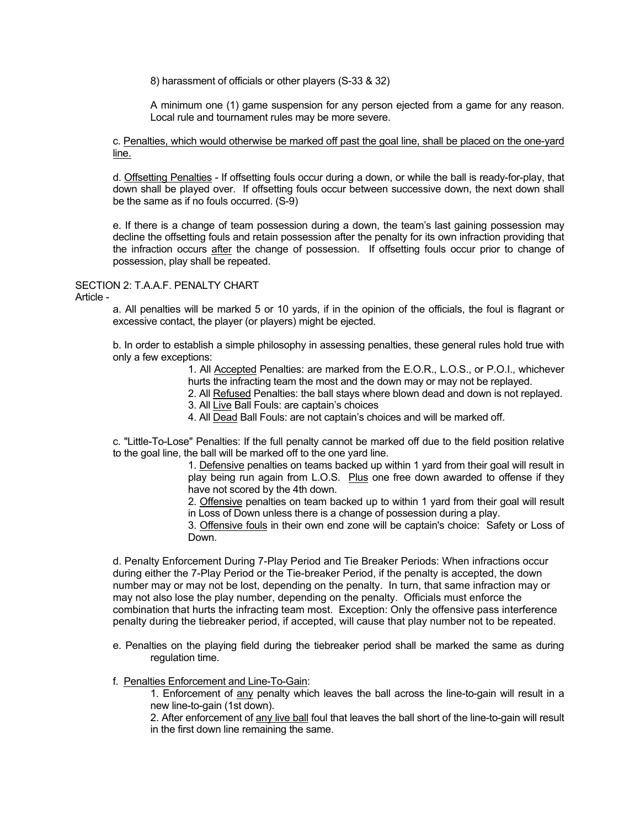8) harassment of officials or other players (S-33 & 32)

 A minimum one (1) game suspension for any person ejected from a game for any reason. Local rule and tournament rules may be more severe.

c. Penalties, which would otherwise be marked off past the goal line, shall be placed on the one-yard line.

d. Offsetting Penalties - If offsetting fouls occur during a down, or while the ball is ready-for-play, that down shall be played over. If offsetting fouls occur between successive down, the next down shall be the same as if no fouls occurred. (S-9)

e. If there is a change of team possession during a down, the team's last gaining possession may decline the offsetting fouls and retain possession after the penalty for its own infraction providing that the infraction occurs after the change of possession. If offsetting fouls occur prior to change of possession, play shall be repeated.

#### SECTION 2: T.A.A.F. PENALTY CHART

Article -

a. All penalties will be marked 5 or 10 yards, if in the opinion of the officials, the foul is flagrant or excessive contact, the player (or players) might be ejected.

b. In order to establish a simple philosophy in assessing penalties, these general rules hold true with only a few exceptions:

> 1. All Accepted Penalties: are marked from the E.O.R., L.O.S., or P.O.I., whichever hurts the infracting team the most and the down may or may not be replayed.

> 2. All Refused Penalties: the ball stays where blown dead and down is not replayed.

3. All Live Ball Fouls: are captain's choices

4. All Dead Ball Fouls: are not captain's choices and will be marked off.

c. "Little-To-Lose" Penalties: If the full penalty cannot be marked off due to the field position relative to the goal line, the ball will be marked off to the one yard line.

> 1. Defensive penalties on teams backed up within 1 yard from their goal will result in play being run again from L.O.S. Plus one free down awarded to offense if they have not scored by the 4th down.

> 2. Offensive penalties on team backed up to within 1 yard from their goal will result in Loss of Down unless there is a change of possession during a play.

> 3. Offensive fouls in their own end zone will be captain's choice: Safety or Loss of Down.

d. Penalty Enforcement During 7-Play Period and Tie Breaker Periods: When infractions occur during either the 7-Play Period or the Tie-breaker Period, if the penalty is accepted, the down number may or may not be lost, depending on the penalty. In turn, that same infraction may or may not also lose the play number, depending on the penalty. Officials must enforce the combination that hurts the infracting team most. Exception: Only the offensive pass interference penalty during the tiebreaker period, if accepted, will cause that play number not to be repeated.

e. Penalties on the playing field during the tiebreaker period shall be marked the same as during regulation time.

#### f. Penalties Enforcement and Line-To-Gain:

1. Enforcement of any penalty which leaves the ball across the line-to-gain will result in a new line-to-gain (1st down).

2. After enforcement of any live ball foul that leaves the ball short of the line-to-gain will result in the first down line remaining the same.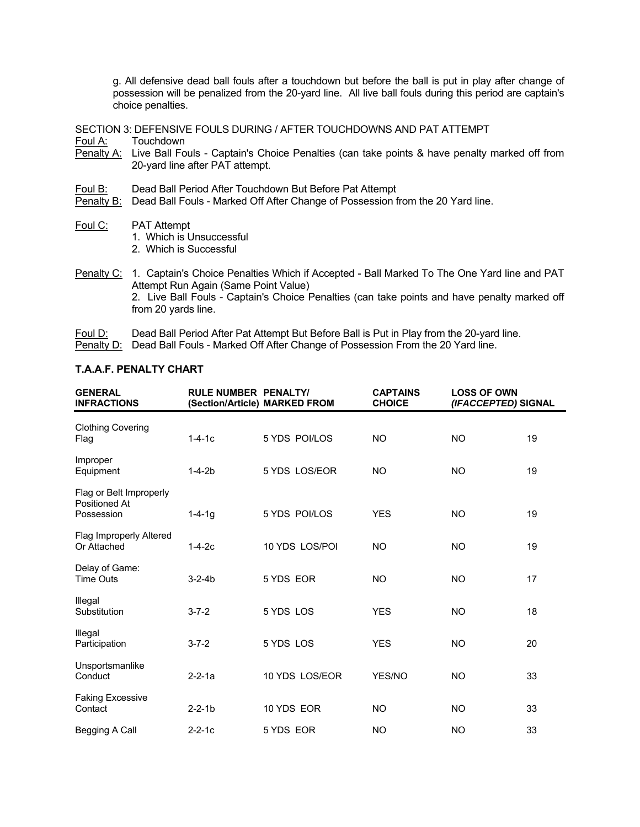g. All defensive dead ball fouls after a touchdown but before the ball is put in play after change of possession will be penalized from the 20-yard line. All live ball fouls during this period are captain's choice penalties.

SECTION 3: DEFENSIVE FOULS DURING / AFTER TOUCHDOWNS AND PAT ATTEMPT<br>Foul A: Touchdown

Touchdown

- Penalty A: Live Ball Fouls Captain's Choice Penalties (can take points & have penalty marked off from 20-yard line after PAT attempt.
- Foul B: Dead Ball Period After Touchdown But Before Pat Attempt
- Penalty B: Dead Ball Fouls Marked Off After Change of Possession from the 20 Yard line.
- Foul C: PAT Attempt
	- 1. Which is Unsuccessful
	- 2. Which is Successful

Penalty C: 1. Captain's Choice Penalties Which if Accepted - Ball Marked To The One Yard line and PAT Attempt Run Again (Same Point Value) 2. Live Ball Fouls - Captain's Choice Penalties (can take points and have penalty marked off from 20 yards line.

- Foul D: Dead Ball Period After Pat Attempt But Before Ball is Put in Play from the 20-yard line.
- Penalty D: Dead Ball Fouls Marked Off After Change of Possession From the 20 Yard line.

| <b>T.A.A.F. PENALTY CHART</b> |  |  |  |  |  |  |  |  |
|-------------------------------|--|--|--|--|--|--|--|--|
|-------------------------------|--|--|--|--|--|--|--|--|

| <b>GENERAL</b><br><b>INFRACTIONS</b>                   | <b>RULE NUMBER PENALTY/</b> | (Section/Article) MARKED FROM | <b>CAPTAINS</b><br><b>CHOICE</b> | <b>LOSS OF OWN</b><br>(IFACCEPTED) SIGNAL |    |
|--------------------------------------------------------|-----------------------------|-------------------------------|----------------------------------|-------------------------------------------|----|
| <b>Clothing Covering</b><br>Flag                       | $1 - 4 - 1c$                | 5 YDS POI/LOS                 | <b>NO</b>                        | <b>NO</b>                                 | 19 |
| Improper<br>Equipment                                  | $1 - 4 - 2b$                | 5 YDS LOS/EOR                 | <b>NO</b>                        | <b>NO</b>                                 | 19 |
| Flag or Belt Improperly<br>Positioned At<br>Possession | $1 - 4 - 1q$                | 5 YDS POI/LOS                 | <b>YES</b>                       | <b>NO</b>                                 | 19 |
| Flag Improperly Altered<br>Or Attached                 | $1 - 4 - 2c$                | 10 YDS LOS/POI                | <b>NO</b>                        | <b>NO</b>                                 | 19 |
| Delay of Game:<br><b>Time Outs</b>                     | $3 - 2 - 4b$                | 5 YDS EOR                     | <b>NO</b>                        | <b>NO</b>                                 | 17 |
| Illegal<br>Substitution                                | $3 - 7 - 2$                 | 5 YDS LOS                     | <b>YES</b>                       | NO.                                       | 18 |
| Illegal<br>Participation                               | $3 - 7 - 2$                 | 5 YDS LOS                     | <b>YES</b>                       | NO.                                       | 20 |
| Unsportsmanlike<br>Conduct                             | $2 - 2 - 1a$                | 10 YDS LOS/EOR                | YES/NO                           | <b>NO</b>                                 | 33 |
| <b>Faking Excessive</b><br>Contact                     | $2 - 2 - 1b$                | 10 YDS EOR                    | <b>NO</b>                        | <b>NO</b>                                 | 33 |
| Begging A Call                                         | $2 - 2 - 1c$                | 5 YDS EOR                     | <b>NO</b>                        | <b>NO</b>                                 | 33 |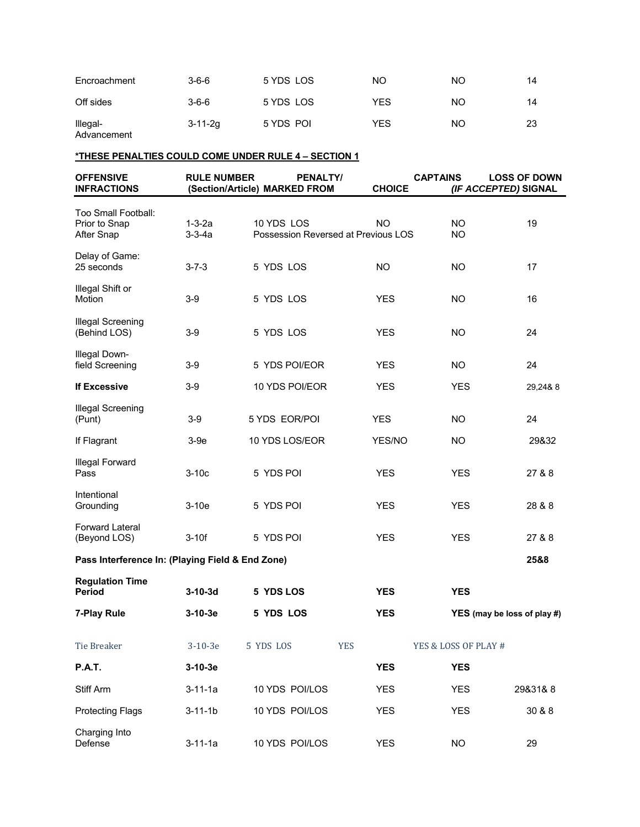| Encroachment            | $3 - 6 - 6$   | 5 YDS LOS | ΝO  | ΝO | 14 |
|-------------------------|---------------|-----------|-----|----|----|
| Off sides               | $3 - 6 - 6$   | 5 YDS LOS | YES | ΝO | 14 |
| Illegal-<br>Advancement | $3 - 11 - 2g$ | 5 YDS POI | YES | NO | 23 |

#### **\*THESE PENALTIES COULD COME UNDER RULE 4 – SECTION 1**

| <b>OFFENSIVE</b><br><b>INFRACTIONS</b>                    | <b>RULE NUMBER</b>           | <b>PENALTY/</b><br>(Section/Article) MARKED FROM  |            | <b>CHOICE</b> | <b>CAPTAINS</b>        | <b>LOSS OF DOWN</b><br>(IF ACCEPTED) SIGNAL |
|-----------------------------------------------------------|------------------------------|---------------------------------------------------|------------|---------------|------------------------|---------------------------------------------|
| Too Small Football:<br>Prior to Snap<br><b>After Snap</b> | $1 - 3 - 2a$<br>$3 - 3 - 4a$ | 10 YDS LOS<br>Possession Reversed at Previous LOS |            | <b>NO</b>     | <b>NO</b><br><b>NO</b> | 19                                          |
| Delay of Game:<br>25 seconds                              | $3 - 7 - 3$                  | 5 YDS LOS                                         |            | <b>NO</b>     | NO.                    | 17                                          |
| Illegal Shift or<br>Motion                                | 3-9                          | 5 YDS LOS                                         |            | YES.          | NO.                    | 16                                          |
| Illegal Screening<br>(Behind LOS)                         | $3-9$                        | 5 YDS LOS                                         |            | <b>YES</b>    | <b>NO</b>              | 24                                          |
| <b>Illegal Down-</b><br>field Screening                   | 3-9                          | 5 YDS POI/EOR                                     |            | <b>YES</b>    | <b>NO</b>              | 24                                          |
| <b>If Excessive</b>                                       | $3-9$                        | 10 YDS POI/EOR                                    |            | <b>YES</b>    | <b>YES</b>             | 29,24&8                                     |
| Illegal Screening<br>(Punt)                               | $3-9$                        | 5 YDS EOR/POI                                     |            | <b>YES</b>    | <b>NO</b>              | 24                                          |
| If Flagrant                                               | 3-9e                         | 10 YDS LOS/EOR                                    |            | YES/NO        | <b>NO</b>              | 29&32                                       |
| Illegal Forward<br>Pass                                   | $3-10c$                      | 5 YDS POI                                         |            | <b>YES</b>    | <b>YES</b>             | 27 & 8                                      |
| Intentional<br>Grounding                                  | $3-10e$                      | 5 YDS POI                                         |            | <b>YES</b>    | <b>YES</b>             | 28 & 8                                      |
| <b>Forward Lateral</b><br>(Beyond LOS)                    | $3-10f$                      | 5 YDS POI                                         |            | <b>YES</b>    | <b>YES</b>             | 27 & 8                                      |
| Pass Interference In: (Playing Field & End Zone)          |                              |                                                   |            |               |                        | 25&8                                        |
| <b>Regulation Time</b><br><b>Period</b>                   | $3-10-3d$                    | 5 YDS LOS                                         |            | <b>YES</b>    | <b>YES</b>             |                                             |
| 7-Play Rule                                               | $3-10-3e$                    | 5 YDS LOS                                         |            | <b>YES</b>    |                        | YES (may be loss of play #)                 |
| <b>Tie Breaker</b>                                        | $3-10-3e$                    | 5 YDS LOS                                         | <b>YES</b> |               | YES & LOSS OF PLAY #   |                                             |
| <b>P.A.T.</b>                                             | $3-10-3e$                    |                                                   |            | <b>YES</b>    | <b>YES</b>             |                                             |
| Stiff Arm                                                 | $3 - 11 - 1a$                | 10 YDS POI/LOS                                    |            | <b>YES</b>    | <b>YES</b>             | 29&31&8                                     |
| <b>Protecting Flags</b>                                   | $3 - 11 - 1b$                | 10 YDS POI/LOS                                    |            | <b>YES</b>    | <b>YES</b>             | 30 & 8                                      |
| Charging Into<br>Defense                                  | $3 - 11 - 1a$                | 10 YDS POI/LOS                                    |            | <b>YES</b>    | <b>NO</b>              | 29                                          |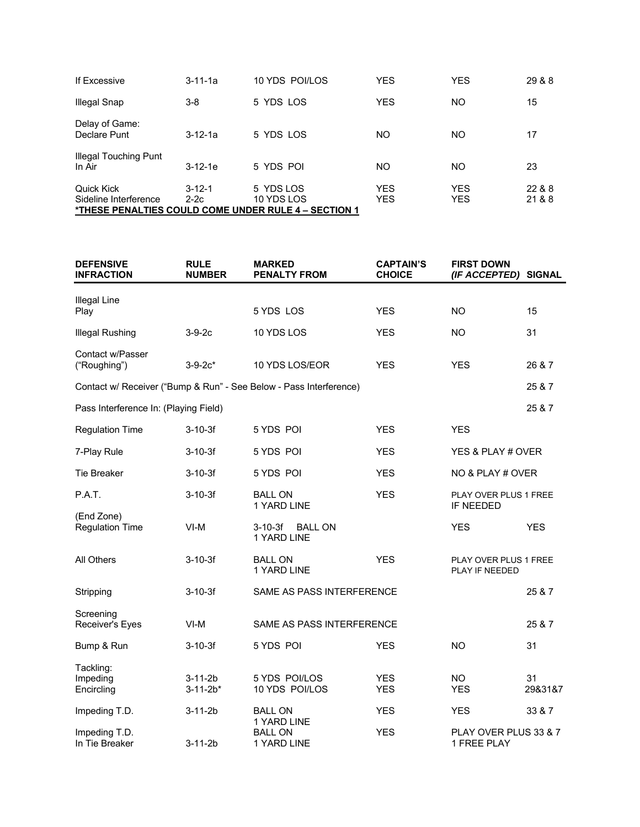| If Excessive                               | $3 - 11 - 1a$          | 10 YDS POI/LOS                                                                  | <b>YES</b>               | YES               | 29 & 8           |
|--------------------------------------------|------------------------|---------------------------------------------------------------------------------|--------------------------|-------------------|------------------|
| <b>Illegal Snap</b>                        | 3-8                    | 5 YDS LOS                                                                       | <b>YES</b>               | ΝO                | 15               |
| Delay of Game:<br>Declare Punt             | $3-12-1a$              | 5 YDS LOS                                                                       | NΟ                       | NO                | 17               |
| <b>Illegal Touching Punt</b><br>In Air     | $3-12-1e$              | 5 YDS POI                                                                       | NO                       | NO                | 23               |
| <b>Quick Kick</b><br>Sideline Interference | $3 - 12 - 1$<br>$2-2c$ | 5 YDS LOS<br>10 YDS LOS<br>*THESE PENALTIES COULD COME UNDER RULE 4 – SECTION 1 | <b>YES</b><br><b>YES</b> | <b>YES</b><br>YES | 22 & 8<br>21 & 8 |

| <b>DEFENSIVE</b><br><b>INFRACTION</b> | <b>RULE</b><br><b>NUMBER</b>    | <b>MARKED</b><br><b>PENALTY FROM</b>                               | <b>CAPTAIN'S</b><br><b>CHOICE</b> | <b>FIRST DOWN</b><br>(IF ACCEPTED)          | <b>SIGNAL</b> |
|---------------------------------------|---------------------------------|--------------------------------------------------------------------|-----------------------------------|---------------------------------------------|---------------|
| <b>Illegal Line</b>                   |                                 |                                                                    |                                   |                                             |               |
| Play                                  |                                 | 5 YDS LOS                                                          | <b>YES</b>                        | NO.                                         | 15            |
| <b>Illegal Rushing</b>                | $3-9-2c$                        | 10 YDS LOS                                                         | <b>YES</b>                        | NO.                                         | 31            |
| Contact w/Passer<br>("Roughing")      | $3 - 9 - 2c^*$                  | 10 YDS LOS/EOR                                                     | <b>YES</b>                        | <b>YES</b>                                  | 26 & 7        |
|                                       |                                 | Contact w/ Receiver ("Bump & Run" - See Below - Pass Interference) |                                   |                                             | 25 & 7        |
| Pass Interference In: (Playing Field) |                                 |                                                                    |                                   |                                             | 25 & 7        |
| <b>Regulation Time</b>                | $3 - 10 - 3f$                   | 5 YDS POI                                                          | <b>YES</b>                        | <b>YES</b>                                  |               |
| 7-Play Rule                           | $3 - 10 - 3f$                   | 5 YDS POI                                                          | <b>YES</b>                        | YES & PLAY # OVER                           |               |
| <b>Tie Breaker</b>                    | $3 - 10 - 3f$                   | 5 YDS POI                                                          | <b>YES</b>                        | NO & PLAY # OVER                            |               |
| P.A.T.                                | $3 - 10 - 3f$                   | <b>BALL ON</b><br>1 YARD LINE                                      | <b>YES</b>                        | PLAY OVER PLUS 1 FREE<br>IF NEEDED          |               |
| (End Zone)<br><b>Regulation Time</b>  | VI-M                            | <b>BALL ON</b><br>3-10-3f<br>1 YARD LINE                           |                                   | <b>YES</b>                                  | <b>YES</b>    |
| All Others                            | $3 - 10 - 3f$                   | <b>BALL ON</b><br>1 YARD LINE                                      | <b>YES</b>                        | PLAY OVER PLUS 1 FREE<br>PLAY IF NEEDED     |               |
| Stripping                             | $3 - 10 - 3f$                   | SAME AS PASS INTERFERENCE                                          |                                   |                                             | 25 & 7        |
| Screening<br>Receiver's Eyes          | $VI-M$                          | SAME AS PASS INTERFERENCE                                          |                                   |                                             | 25 & 7        |
| Bump & Run                            | $3 - 10 - 3f$                   | 5 YDS POI                                                          | <b>YES</b>                        | <b>NO</b>                                   | 31            |
| Tackling:<br>Impeding<br>Encircling   | $3 - 11 - 2b$<br>$3 - 11 - 2b*$ | 5 YDS POI/LOS<br>10 YDS POI/LOS                                    | <b>YES</b><br><b>YES</b>          | NO.<br><b>YES</b>                           | 31<br>29&31&7 |
| Impeding T.D.                         | $3 - 11 - 2b$                   | <b>BALL ON</b>                                                     | <b>YES</b>                        | <b>YES</b>                                  | 33 & 7        |
| Impeding T.D.<br>In Tie Breaker       | 3-11-2b                         | 1 YARD LINE<br><b>BALL ON</b><br>1 YARD LINE                       | <b>YES</b>                        | PLAY OVER PLUS 33 & 7<br><b>1 FREE PLAY</b> |               |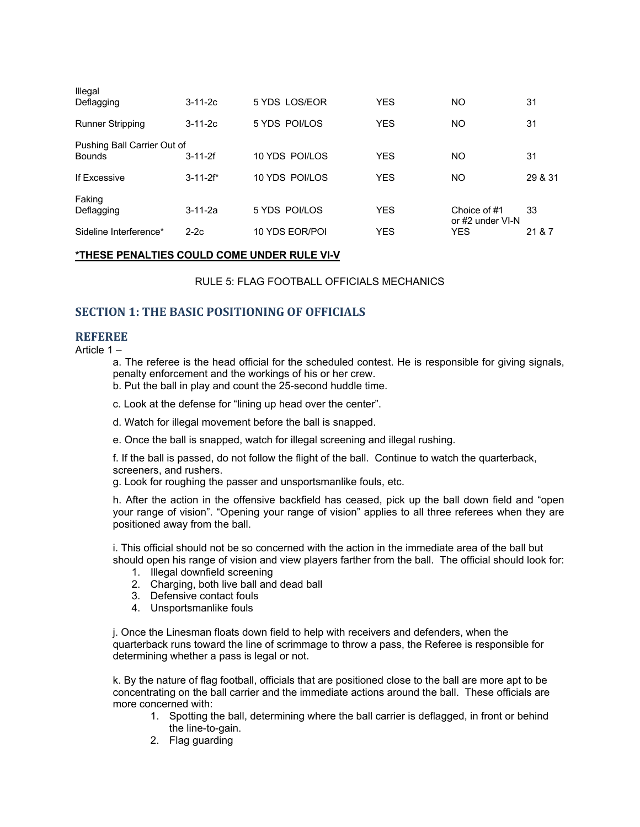| Illegal<br>Deflagging                        | $3 - 11 - 2c$   | 5 YDS LOS/EOR  | YES        | ΝO                               | 31      |
|----------------------------------------------|-----------------|----------------|------------|----------------------------------|---------|
| <b>Runner Stripping</b>                      | $3 - 11 - 2c$   | 5 YDS POI/LOS  | <b>YES</b> | NO                               | 31      |
| Pushing Ball Carrier Out of<br><b>Bounds</b> | $3 - 11 - 2f$   | 10 YDS POI/LOS | <b>YES</b> | NO                               | 31      |
| If Excessive                                 | $3 - 11 - 2f^*$ | 10 YDS POI/LOS | <b>YES</b> | NO                               | 29 & 31 |
| Faking<br>Deflagging                         | $3 - 11 - 2a$   | 5 YDS POI/LOS  | <b>YES</b> | Choice of #1<br>or #2 under VI-N | 33      |
| Sideline Interference*                       | $2-2c$          | 10 YDS EOR/POI | YES        | YES                              | 21 & 7  |

#### **\*THESE PENALTIES COULD COME UNDER RULE VI-V**

RULE 5: FLAG FOOTBALL OFFICIALS MECHANICS

#### **SECTION 1: THE BASIC POSITIONING OF OFFICIALS**

#### **REFEREE**

Article 1 –

a. The referee is the head official for the scheduled contest. He is responsible for giving signals, penalty enforcement and the workings of his or her crew.

- b. Put the ball in play and count the 25-second huddle time.
- c. Look at the defense for "lining up head over the center".
- d. Watch for illegal movement before the ball is snapped.
- e. Once the ball is snapped, watch for illegal screening and illegal rushing.

f. If the ball is passed, do not follow the flight of the ball. Continue to watch the quarterback, screeners, and rushers.

g. Look for roughing the passer and unsportsmanlike fouls, etc.

h. After the action in the offensive backfield has ceased, pick up the ball down field and "open your range of vision". "Opening your range of vision" applies to all three referees when they are positioned away from the ball.

i. This official should not be so concerned with the action in the immediate area of the ball but should open his range of vision and view players farther from the ball. The official should look for:

- 1. Illegal downfield screening
- 2. Charging, both live ball and dead ball
- 3. Defensive contact fouls
- 4. Unsportsmanlike fouls

j. Once the Linesman floats down field to help with receivers and defenders, when the quarterback runs toward the line of scrimmage to throw a pass, the Referee is responsible for determining whether a pass is legal or not.

k. By the nature of flag football, officials that are positioned close to the ball are more apt to be concentrating on the ball carrier and the immediate actions around the ball. These officials are more concerned with:

- 1. Spotting the ball, determining where the ball carrier is deflagged, in front or behind the line-to-gain.
- 2. Flag guarding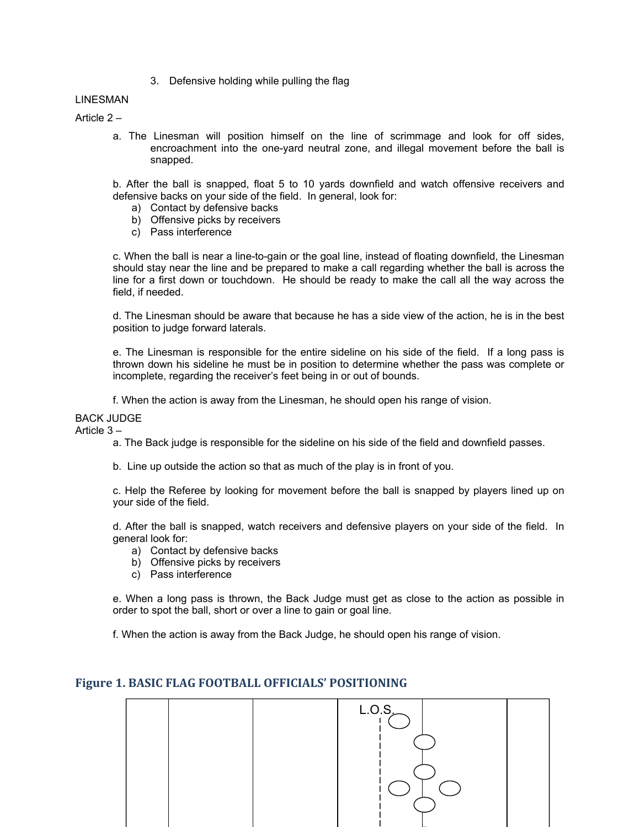3. Defensive holding while pulling the flag

#### LINESMAN

Article 2 –

a. The Linesman will position himself on the line of scrimmage and look for off sides, encroachment into the one-yard neutral zone, and illegal movement before the ball is snapped.

b. After the ball is snapped, float 5 to 10 yards downfield and watch offensive receivers and defensive backs on your side of the field. In general, look for:

- a) Contact by defensive backs
- b) Offensive picks by receivers
- c) Pass interference

c. When the ball is near a line-to-gain or the goal line, instead of floating downfield, the Linesman should stay near the line and be prepared to make a call regarding whether the ball is across the line for a first down or touchdown. He should be ready to make the call all the way across the field, if needed.

d. The Linesman should be aware that because he has a side view of the action, he is in the best position to judge forward laterals.

e. The Linesman is responsible for the entire sideline on his side of the field. If a long pass is thrown down his sideline he must be in position to determine whether the pass was complete or incomplete, regarding the receiver's feet being in or out of bounds.

f. When the action is away from the Linesman, he should open his range of vision.

BACK JUDGE

Article 3 –

a. The Back judge is responsible for the sideline on his side of the field and downfield passes.

b. Line up outside the action so that as much of the play is in front of you.

c. Help the Referee by looking for movement before the ball is snapped by players lined up on your side of the field.

d. After the ball is snapped, watch receivers and defensive players on your side of the field. In general look for:

- a) Contact by defensive backs
- b) Offensive picks by receivers
- c) Pass interference

e. When a long pass is thrown, the Back Judge must get as close to the action as possible in order to spot the ball, short or over a line to gain or goal line.

f. When the action is away from the Back Judge, he should open his range of vision.



#### **Figure 1. BASIC FLAG FOOTBALL OFFICIALS' POSITIONING**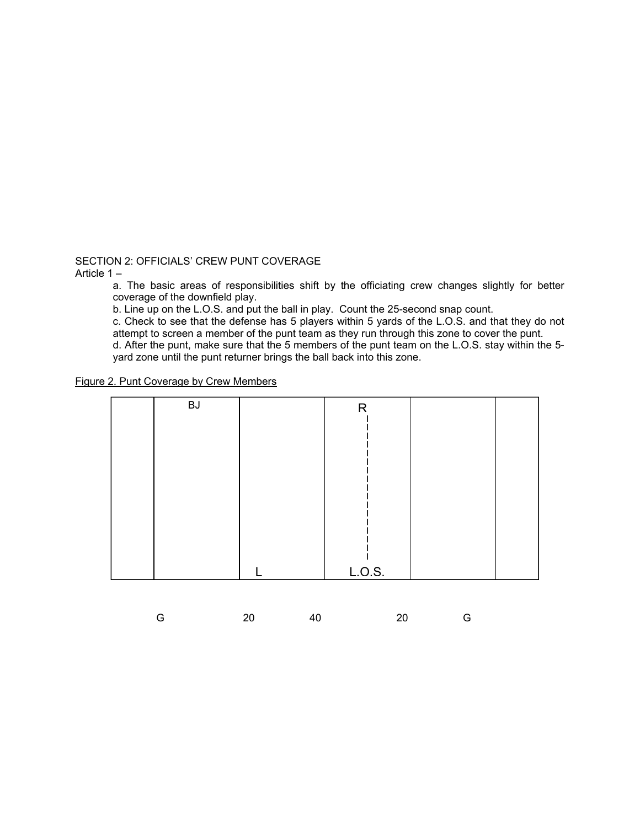SECTION 2: OFFICIALS' CREW PUNT COVERAGE

Article 1 –

a. The basic areas of responsibilities shift by the officiating crew changes slightly for better coverage of the downfield play.

b. Line up on the L.O.S. and put the ball in play. Count the 25-second snap count.

c. Check to see that the defense has 5 players within 5 yards of the L.O.S. and that they do not attempt to screen a member of the punt team as they run through this zone to cover the punt.

d. After the punt, make sure that the 5 members of the punt team on the L.O.S. stay within the 5 yard zone until the punt returner brings the ball back into this zone.

Figure 2. Punt Coverage by Crew Members

| <b>BJ</b> | R      |  |
|-----------|--------|--|
|           |        |  |
|           |        |  |
|           |        |  |
|           |        |  |
|           |        |  |
|           |        |  |
|           |        |  |
|           |        |  |
|           |        |  |
|           |        |  |
|           |        |  |
|           |        |  |
|           | L.O.S. |  |

|  | 20 | 40 | 20 | <b>Signal</b> G |
|--|----|----|----|-----------------|
|--|----|----|----|-----------------|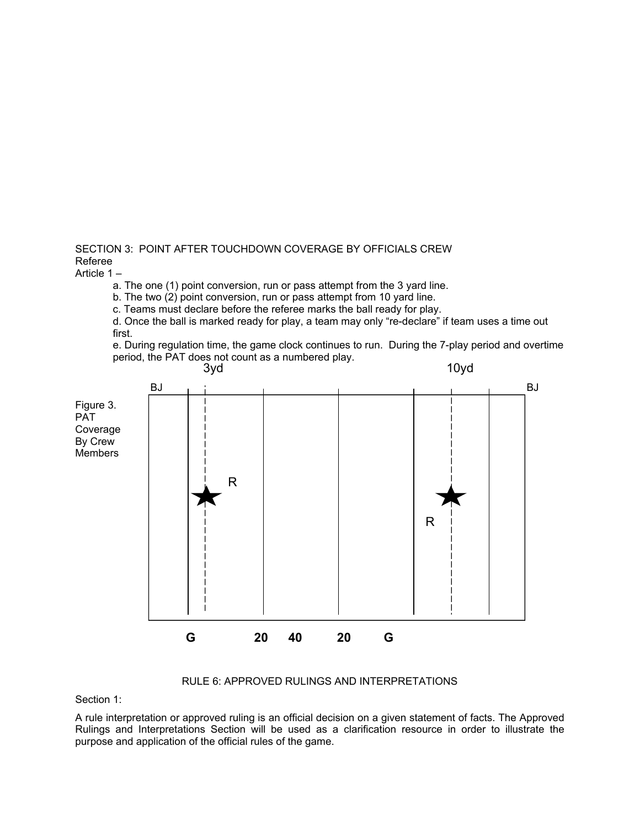SECTION 3: POINT AFTER TOUCHDOWN COVERAGE BY OFFICIALS CREW Referee

Article 1 –

a. The one (1) point conversion, run or pass attempt from the 3 yard line.

b. The two (2) point conversion, run or pass attempt from 10 yard line.

c. Teams must declare before the referee marks the ball ready for play.

d. Once the ball is marked ready for play, a team may only "re-declare" if team uses a time out first.

e. During regulation time, the game clock continues to run. During the 7-play period and overtime period, the PAT does not count as a numbered play.



#### RULE 6: APPROVED RULINGS AND INTERPRETATIONS

Section 1:

A rule interpretation or approved ruling is an official decision on a given statement of facts. The Approved Rulings and Interpretations Section will be used as a clarification resource in order to illustrate the purpose and application of the official rules of the game.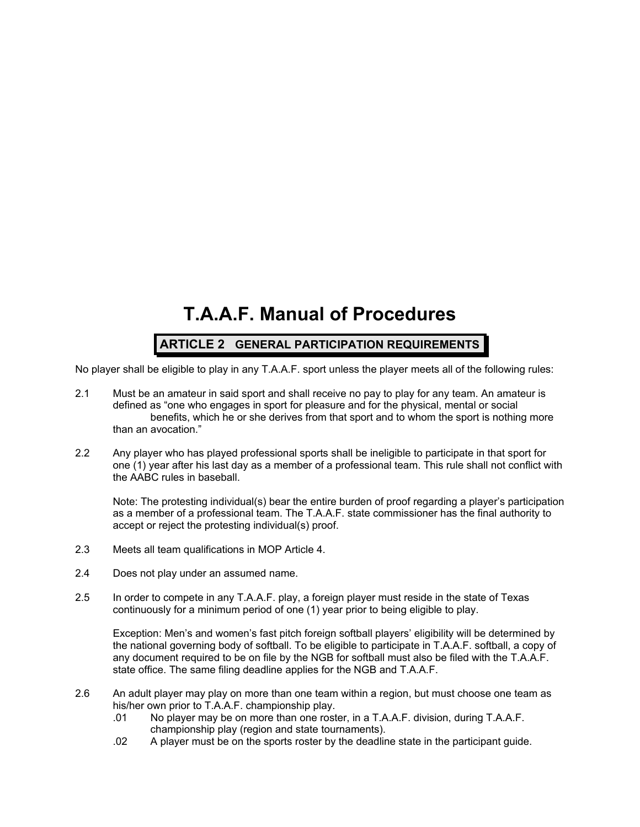## **T.A.A.F. Manual of Procedures**

## **ARTICLE 2 GENERAL PARTICIPATION REQUIREMENTS**

No player shall be eligible to play in any T.A.A.F. sport unless the player meets all of the following rules:

- 2.1 Must be an amateur in said sport and shall receive no pay to play for any team. An amateur is defined as "one who engages in sport for pleasure and for the physical, mental or social benefits, which he or she derives from that sport and to whom the sport is nothing more than an avocation."
- 2.2 Any player who has played professional sports shall be ineligible to participate in that sport for one (1) year after his last day as a member of a professional team. This rule shall not conflict with the AABC rules in baseball.

Note: The protesting individual(s) bear the entire burden of proof regarding a player's participation as a member of a professional team. The T.A.A.F. state commissioner has the final authority to accept or reject the protesting individual(s) proof.

- 2.3 Meets all team qualifications in MOP Article 4.
- 2.4 Does not play under an assumed name.
- 2.5 In order to compete in any T.A.A.F. play, a foreign player must reside in the state of Texas continuously for a minimum period of one (1) year prior to being eligible to play.

Exception: Men's and women's fast pitch foreign softball players' eligibility will be determined by the national governing body of softball. To be eligible to participate in T.A.A.F. softball, a copy of any document required to be on file by the NGB for softball must also be filed with the T.A.A.F. state office. The same filing deadline applies for the NGB and T.A.A.F.

- 2.6 An adult player may play on more than one team within a region, but must choose one team as his/her own prior to T.A.A.F. championship play.
	- .01 No player may be on more than one roster, in a T.A.A.F. division, during T.A.A.F. championship play (region and state tournaments).
	- .02 A player must be on the sports roster by the deadline state in the participant guide.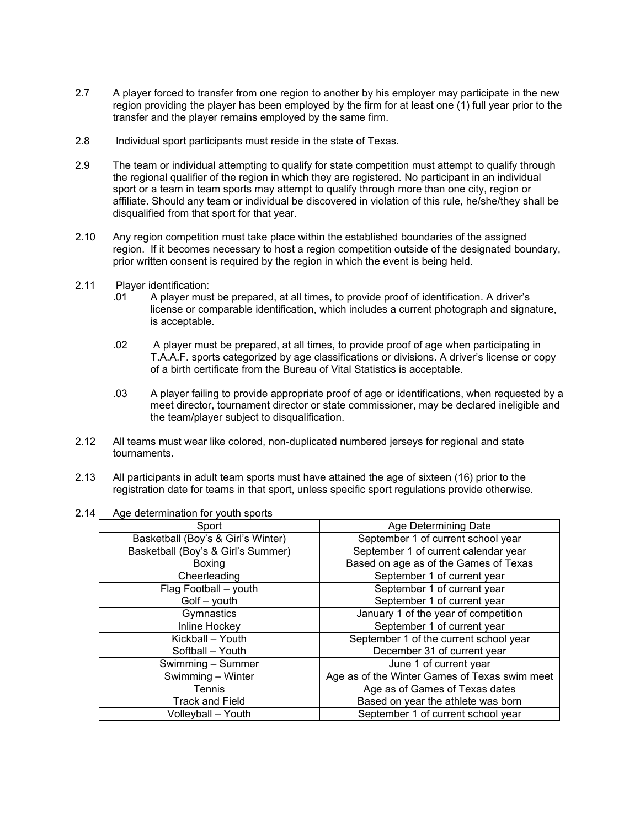- 2.7 A player forced to transfer from one region to another by his employer may participate in the new region providing the player has been employed by the firm for at least one (1) full year prior to the transfer and the player remains employed by the same firm.
- 2.8 Individual sport participants must reside in the state of Texas.
- 2.9 The team or individual attempting to qualify for state competition must attempt to qualify through the regional qualifier of the region in which they are registered. No participant in an individual sport or a team in team sports may attempt to qualify through more than one city, region or affiliate. Should any team or individual be discovered in violation of this rule, he/she/they shall be disqualified from that sport for that year.
- 2.10 Any region competition must take place within the established boundaries of the assigned region. If it becomes necessary to host a region competition outside of the designated boundary, prior written consent is required by the region in which the event is being held.
- 2.11 Player identification:
	- .01 A player must be prepared, at all times, to provide proof of identification. A driver's license or comparable identification, which includes a current photograph and signature, is acceptable.
	- .02 A player must be prepared, at all times, to provide proof of age when participating in T.A.A.F. sports categorized by age classifications or divisions. A driver's license or copy of a birth certificate from the Bureau of Vital Statistics is acceptable.
	- .03 A player failing to provide appropriate proof of age or identifications, when requested by a meet director, tournament director or state commissioner, may be declared ineligible and the team/player subject to disqualification.
- 2.12 All teams must wear like colored, non-duplicated numbered jerseys for regional and state tournaments.
- 2.13 All participants in adult team sports must have attained the age of sixteen (16) prior to the registration date for teams in that sport, unless specific sport regulations provide otherwise.

| Sport                              | Age Determining Date                          |
|------------------------------------|-----------------------------------------------|
| Basketball (Boy's & Girl's Winter) | September 1 of current school year            |
| Basketball (Boy's & Girl's Summer) | September 1 of current calendar year          |
| Boxing                             | Based on age as of the Games of Texas         |
| Cheerleading                       | September 1 of current year                   |
| Flag Football - youth              | September 1 of current year                   |
| Golf - youth                       | September 1 of current year                   |
| Gymnastics                         | January 1 of the year of competition          |
| Inline Hockey                      | September 1 of current year                   |
| Kickball - Youth                   | September 1 of the current school year        |
| Softball - Youth                   | December 31 of current year                   |
| Swimming - Summer                  | June 1 of current year                        |
| Swimming - Winter                  | Age as of the Winter Games of Texas swim meet |
| <b>Tennis</b>                      | Age as of Games of Texas dates                |
| <b>Track and Field</b>             | Based on year the athlete was born            |
| Volleyball – Youth                 | September 1 of current school year            |

#### 2.14 Age determination for youth sports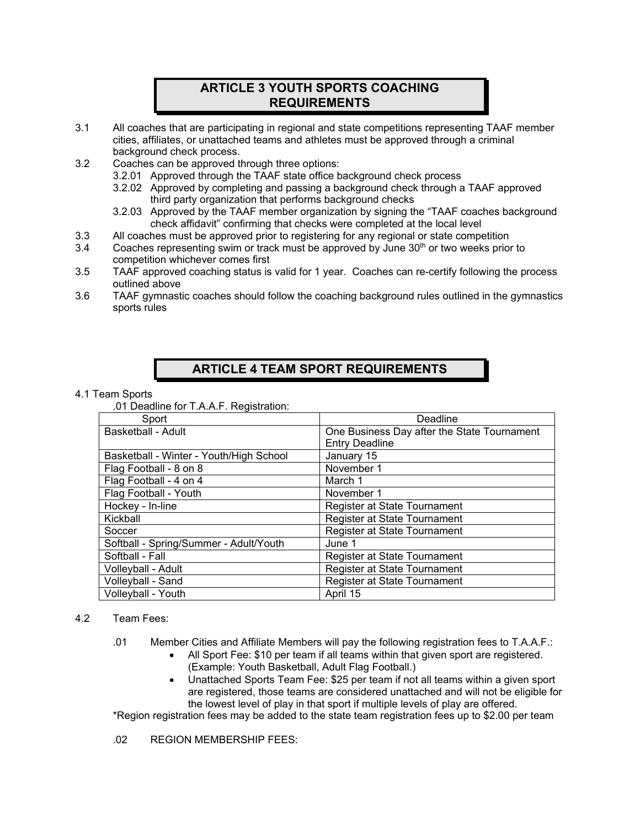## **ARTICLE 3 YOUTH SPORTS COACHING REQUIREMENTS**

- 3.1 All coaches that are participating in regional and state competitions representing TAAF member cities, affiliates, or unattached teams and athletes must be approved through a criminal background check process.
- 3.2 Coaches can be approved through three options:
	- 3.2.01 Approved through the TAAF state office background check process
	- 3.2.02 Approved by completing and passing a background check through a TAAF approved third party organization that performs background checks
	- 3.2.03 Approved by the TAAF member organization by signing the "TAAF coaches background check affidavit" confirming that checks were completed at the local level
- 3.3 All coaches must be approved prior to registering for any regional or state competition
- $3.4$  Coaches representing swim or track must be approved by June 30<sup>th</sup> or two weeks prior to competition whichever comes first
- 3.5 TAAF approved coaching status is valid for 1 year. Coaches can re-certify following the process outlined above
- 3.6 TAAF gymnastic coaches should follow the coaching background rules outlined in the gymnastics sports rules

## **ARTICLE 4 TEAM SPORT REQUIREMENTS**

#### 4.1 Team Sports

.01 Deadline for T.A.A.F. Registration:

| Sport                                   | Deadline                                    |  |
|-----------------------------------------|---------------------------------------------|--|
| <b>Basketball - Adult</b>               | One Business Day after the State Tournament |  |
|                                         | <b>Entry Deadline</b>                       |  |
| Basketball - Winter - Youth/High School | January 15                                  |  |
| Flag Football - 8 on 8                  | November 1                                  |  |
| Flag Football - 4 on 4                  | March 1                                     |  |
| Flag Football - Youth                   | November 1                                  |  |
| Hockey - In-line                        | Register at State Tournament                |  |
| Kickball                                | Register at State Tournament                |  |
| Soccer                                  | Register at State Tournament                |  |
| Softball - Spring/Summer - Adult/Youth  | June 1                                      |  |
| Softball - Fall                         | Register at State Tournament                |  |
| Volleyball - Adult                      | Register at State Tournament                |  |
| Volleyball - Sand                       | Register at State Tournament                |  |
| Volleyball - Youth                      | April 15                                    |  |

#### 4.2 Team Fees:

.01 Member Cities and Affiliate Members will pay the following registration fees to T.A.A.F.:

- All Sport Fee: \$10 per team if all teams within that given sport are registered. (Example: Youth Basketball, Adult Flag Football.)
- Unattached Sports Team Fee: \$25 per team if not all teams within a given sport are registered, those teams are considered unattached and will not be eligible for the lowest level of play in that sport if multiple levels of play are offered.

\*Region registration fees may be added to the state team registration fees up to \$2.00 per team

02 REGION MEMBERSHIP FEES: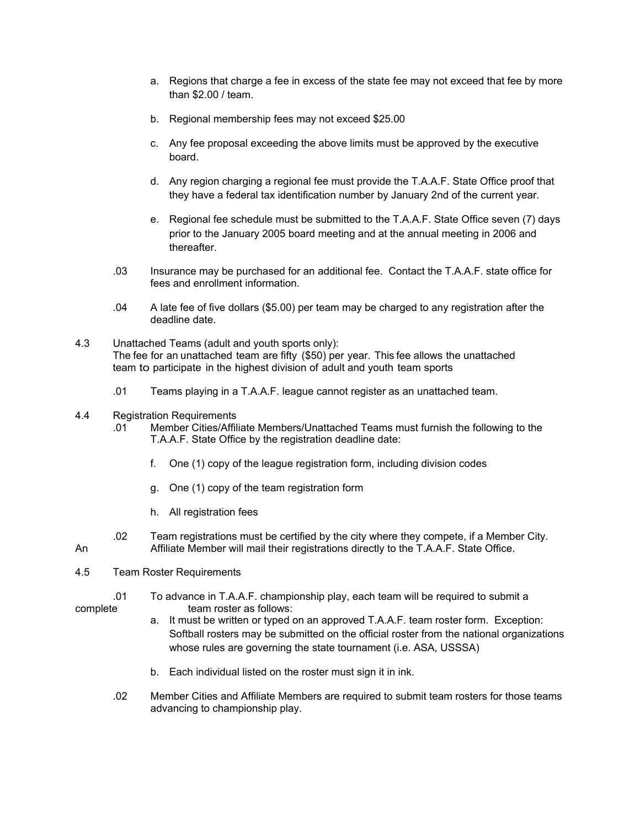- a. Regions that charge a fee in excess of the state fee may not exceed that fee by more than \$2.00 / team.
- b. Regional membership fees may not exceed \$25.00
- c. Any fee proposal exceeding the above limits must be approved by the executive board.
- d. Any region charging a regional fee must provide the T.A.A.F. State Office proof that they have a federal tax identification number by January 2nd of the current year.
- e. Regional fee schedule must be submitted to the T.A.A.F. State Office seven (7) days prior to the January 2005 board meeting and at the annual meeting in 2006 and thereafter.
- .03 Insurance may be purchased for an additional fee. Contact the T.A.A.F. state office for fees and enrollment information.
- .04 A late fee of five dollars (\$5.00) per team may be charged to any registration after the deadline date.
- 4.3 Unattached Teams (adult and youth sports only): The fee for an unattached team are fifty (\$50) per year. This fee allows the unattached team to participate in the highest division of adult and youth team sports
	- .01 Teams playing in a T.A.A.F. league cannot register as an unattached team.
- 4.4 Registration Requirements
	- .01 Member Cities/Affiliate Members/Unattached Teams must furnish the following to the T.A.A.F. State Office by the registration deadline date:
		- f. One (1) copy of the league registration form, including division codes
		- g. One (1) copy of the team registration form
		- h. All registration fees
- .02 Team registrations must be certified by the city where they compete, if a Member City. An Affiliate Member will mail their registrations directly to the T.A.A.F. State Office.
- 4.5 Team Roster Requirements
- .01 To advance in T.A.A.F. championship play, each team will be required to submit a complete team roster as follows:
	- a. It must be written or typed on an approved T.A.A.F. team roster form. Exception: Softball rosters may be submitted on the official roster from the national organizations whose rules are governing the state tournament (i.e. ASA, USSSA)
	- b. Each individual listed on the roster must sign it in ink.
	- .02 Member Cities and Affiliate Members are required to submit team rosters for those teams advancing to championship play.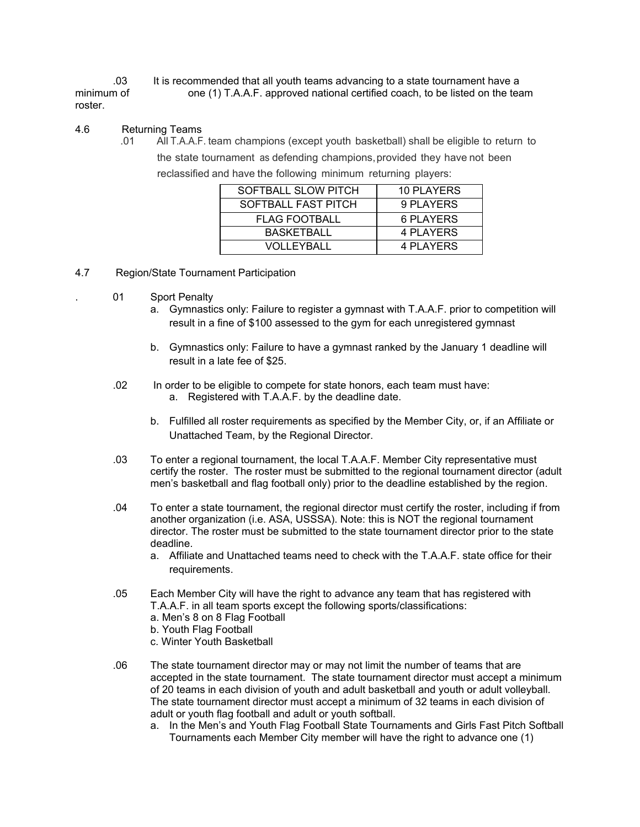.03 It is recommended that all youth teams advancing to a state tournament have a minimum of one (1) T.A.A.F. approved national certified coach, to be listed on the team roster.

#### 4.6 Returning Teams

.01 All T.A.A.F. team champions (except youth basketball) shall be eligible to return to the state tournament as defending champions, provided they have not been reclassified and have the following minimum returning players:

| SOFTBALL SLOW PITCH  | 10 PLAYERS |
|----------------------|------------|
| SOFTBALL FAST PITCH  | 9 PLAYERS  |
| <b>FLAG FOOTBALL</b> | 6 PLAYERS  |
| <b>BASKETBALL</b>    | 4 PLAYERS  |
| VOLLEYBALL           | 4 PLAYERS  |

- 4.7 Region/State Tournament Participation
	- 01 Sport Penalty
		- a. Gymnastics only: Failure to register a gymnast with T.A.A.F. prior to competition will result in a fine of \$100 assessed to the gym for each unregistered gymnast
		- b. Gymnastics only: Failure to have a gymnast ranked by the January 1 deadline will result in a late fee of \$25.
		- .02 In order to be eligible to compete for state honors, each team must have: a. Registered with T.A.A.F. by the deadline date.
			- b. Fulfilled all roster requirements as specified by the Member City, or, if an Affiliate or Unattached Team, by the Regional Director.
		- .03 To enter a regional tournament, the local T.A.A.F. Member City representative must certify the roster. The roster must be submitted to the regional tournament director (adult men's basketball and flag football only) prior to the deadline established by the region.
		- .04 To enter a state tournament, the regional director must certify the roster, including if from another organization (i.e. ASA, USSSA). Note: this is NOT the regional tournament director. The roster must be submitted to the state tournament director prior to the state deadline.
			- a. Affiliate and Unattached teams need to check with the T.A.A.F. state office for their requirements.
		- .05 Each Member City will have the right to advance any team that has registered with T.A.A.F. in all team sports except the following sports/classifications: a. Men's 8 on 8 Flag Football
			- b. Youth Flag Football
			- c. Winter Youth Basketball
		- .06 The state tournament director may or may not limit the number of teams that are accepted in the state tournament. The state tournament director must accept a minimum of 20 teams in each division of youth and adult basketball and youth or adult volleyball. The state tournament director must accept a minimum of 32 teams in each division of adult or youth flag football and adult or youth softball.
			- a. In the Men's and Youth Flag Football State Tournaments and Girls Fast Pitch Softball Tournaments each Member City member will have the right to advance one (1)